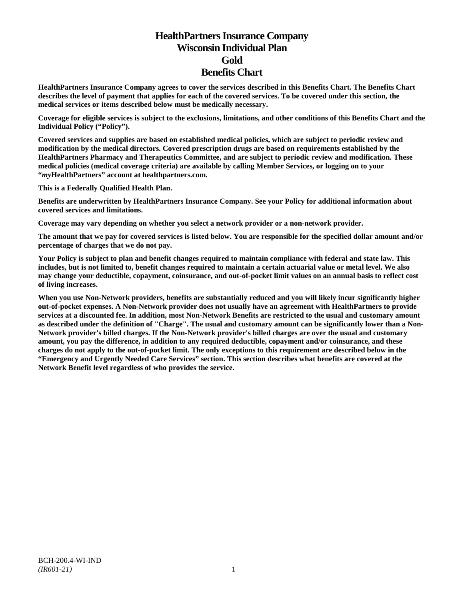# **HealthPartners Insurance Company Wisconsin Individual Plan Gold Benefits Chart**

**HealthPartners Insurance Company agrees to cover the services described in this Benefits Chart. The Benefits Chart describes the level of payment that applies for each of the covered services. To be covered under this section, the medical services or items described below must be medically necessary.**

**Coverage for eligible services is subject to the exclusions, limitations, and other conditions of this Benefits Chart and the Individual Policy ("Policy").**

**Covered services and supplies are based on established medical policies, which are subject to periodic review and modification by the medical directors. Covered prescription drugs are based on requirements established by the HealthPartners Pharmacy and Therapeutics Committee, and are subject to periodic review and modification. These medical policies (medical coverage criteria) are available by calling Member Services, or logging on to your "***my***HealthPartners" account at [healthpartners.com.](http://www.healthpartners.com/)**

**This is a Federally Qualified Health Plan.**

**Benefits are underwritten by HealthPartners Insurance Company. See your Policy for additional information about covered services and limitations.**

**Coverage may vary depending on whether you select a network provider or a non-network provider.**

**The amount that we pay for covered services is listed below. You are responsible for the specified dollar amount and/or percentage of charges that we do not pay.**

**Your Policy is subject to plan and benefit changes required to maintain compliance with federal and state law. This includes, but is not limited to, benefit changes required to maintain a certain actuarial value or metal level. We also may change your deductible, copayment, coinsurance, and out-of-pocket limit values on an annual basis to reflect cost of living increases.**

**When you use Non-Network providers, benefits are substantially reduced and you will likely incur significantly higher out-of-pocket expenses. A Non-Network provider does not usually have an agreement with HealthPartners to provide services at a discounted fee. In addition, most Non-Network Benefits are restricted to the usual and customary amount as described under the definition of "Charge". The usual and customary amount can be significantly lower than a Non-Network provider's billed charges. If the Non-Network provider's billed charges are over the usual and customary amount, you pay the difference, in addition to any required deductible, copayment and/or coinsurance, and these charges do not apply to the out-of-pocket limit. The only exceptions to this requirement are described below in the "Emergency and Urgently Needed Care Services" section. This section describes what benefits are covered at the Network Benefit level regardless of who provides the service.**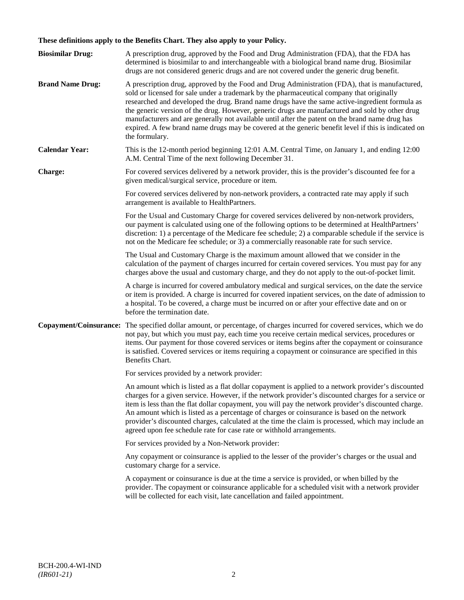## **These definitions apply to the Benefits Chart. They also apply to your Policy.**

| <b>Biosimilar Drug:</b> | A prescription drug, approved by the Food and Drug Administration (FDA), that the FDA has<br>determined is biosimilar to and interchangeable with a biological brand name drug. Biosimilar<br>drugs are not considered generic drugs and are not covered under the generic drug benefit.                                                                                                                                                                                                                                                                                                                                     |
|-------------------------|------------------------------------------------------------------------------------------------------------------------------------------------------------------------------------------------------------------------------------------------------------------------------------------------------------------------------------------------------------------------------------------------------------------------------------------------------------------------------------------------------------------------------------------------------------------------------------------------------------------------------|
| <b>Brand Name Drug:</b> | A prescription drug, approved by the Food and Drug Administration (FDA), that is manufactured,<br>sold or licensed for sale under a trademark by the pharmaceutical company that originally<br>researched and developed the drug. Brand name drugs have the same active-ingredient formula as<br>the generic version of the drug. However, generic drugs are manufactured and sold by other drug<br>manufacturers and are generally not available until after the patent on the brand name drug has<br>expired. A few brand name drugs may be covered at the generic benefit level if this is indicated on<br>the formulary. |
| <b>Calendar Year:</b>   | This is the 12-month period beginning 12:01 A.M. Central Time, on January 1, and ending 12:00<br>A.M. Central Time of the next following December 31.                                                                                                                                                                                                                                                                                                                                                                                                                                                                        |
| Charge:                 | For covered services delivered by a network provider, this is the provider's discounted fee for a<br>given medical/surgical service, procedure or item.                                                                                                                                                                                                                                                                                                                                                                                                                                                                      |
|                         | For covered services delivered by non-network providers, a contracted rate may apply if such<br>arrangement is available to HealthPartners.                                                                                                                                                                                                                                                                                                                                                                                                                                                                                  |
|                         | For the Usual and Customary Charge for covered services delivered by non-network providers,<br>our payment is calculated using one of the following options to be determined at HealthPartners'<br>discretion: 1) a percentage of the Medicare fee schedule; 2) a comparable schedule if the service is<br>not on the Medicare fee schedule; or 3) a commercially reasonable rate for such service.                                                                                                                                                                                                                          |
|                         | The Usual and Customary Charge is the maximum amount allowed that we consider in the<br>calculation of the payment of charges incurred for certain covered services. You must pay for any<br>charges above the usual and customary charge, and they do not apply to the out-of-pocket limit.                                                                                                                                                                                                                                                                                                                                 |
|                         | A charge is incurred for covered ambulatory medical and surgical services, on the date the service<br>or item is provided. A charge is incurred for covered inpatient services, on the date of admission to<br>a hospital. To be covered, a charge must be incurred on or after your effective date and on or<br>before the termination date.                                                                                                                                                                                                                                                                                |
| Copayment/Coinsurance:  | The specified dollar amount, or percentage, of charges incurred for covered services, which we do<br>not pay, but which you must pay, each time you receive certain medical services, procedures or<br>items. Our payment for those covered services or items begins after the copayment or coinsurance<br>is satisfied. Covered services or items requiring a copayment or coinsurance are specified in this<br>Benefits Chart.                                                                                                                                                                                             |
|                         | For services provided by a network provider:                                                                                                                                                                                                                                                                                                                                                                                                                                                                                                                                                                                 |
|                         | An amount which is listed as a flat dollar copayment is applied to a network provider's discounted<br>charges for a given service. However, if the network provider's discounted charges for a service or<br>item is less than the flat dollar copayment, you will pay the network provider's discounted charge.<br>An amount which is listed as a percentage of charges or coinsurance is based on the network<br>provider's discounted charges, calculated at the time the claim is processed, which may include an<br>agreed upon fee schedule rate for case rate or withhold arrangements.                               |
|                         | For services provided by a Non-Network provider:                                                                                                                                                                                                                                                                                                                                                                                                                                                                                                                                                                             |
|                         | Any copayment or coinsurance is applied to the lesser of the provider's charges or the usual and<br>customary charge for a service.                                                                                                                                                                                                                                                                                                                                                                                                                                                                                          |
|                         | A copayment or coinsurance is due at the time a service is provided, or when billed by the<br>provider. The copayment or coinsurance applicable for a scheduled visit with a network provider<br>will be collected for each visit, late cancellation and failed appointment.                                                                                                                                                                                                                                                                                                                                                 |
|                         |                                                                                                                                                                                                                                                                                                                                                                                                                                                                                                                                                                                                                              |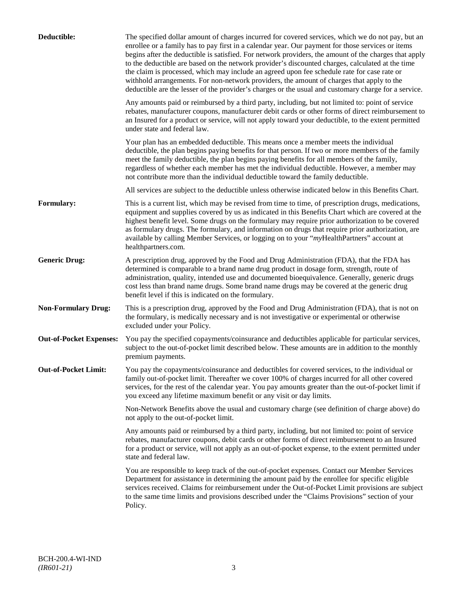| Deductible:                    | The specified dollar amount of charges incurred for covered services, which we do not pay, but an<br>enrollee or a family has to pay first in a calendar year. Our payment for those services or items<br>begins after the deductible is satisfied. For network providers, the amount of the charges that apply<br>to the deductible are based on the network provider's discounted charges, calculated at the time<br>the claim is processed, which may include an agreed upon fee schedule rate for case rate or<br>withhold arrangements. For non-network providers, the amount of charges that apply to the<br>deductible are the lesser of the provider's charges or the usual and customary charge for a service. |
|--------------------------------|-------------------------------------------------------------------------------------------------------------------------------------------------------------------------------------------------------------------------------------------------------------------------------------------------------------------------------------------------------------------------------------------------------------------------------------------------------------------------------------------------------------------------------------------------------------------------------------------------------------------------------------------------------------------------------------------------------------------------|
|                                | Any amounts paid or reimbursed by a third party, including, but not limited to: point of service<br>rebates, manufacturer coupons, manufacturer debit cards or other forms of direct reimbursement to<br>an Insured for a product or service, will not apply toward your deductible, to the extent permitted<br>under state and federal law.                                                                                                                                                                                                                                                                                                                                                                            |
|                                | Your plan has an embedded deductible. This means once a member meets the individual<br>deductible, the plan begins paying benefits for that person. If two or more members of the family<br>meet the family deductible, the plan begins paying benefits for all members of the family,<br>regardless of whether each member has met the individual deductible. However, a member may<br>not contribute more than the individual deductible toward the family deductible.                                                                                                                                                                                                                                                |
|                                | All services are subject to the deductible unless otherwise indicated below in this Benefits Chart.                                                                                                                                                                                                                                                                                                                                                                                                                                                                                                                                                                                                                     |
| Formulary:                     | This is a current list, which may be revised from time to time, of prescription drugs, medications,<br>equipment and supplies covered by us as indicated in this Benefits Chart which are covered at the<br>highest benefit level. Some drugs on the formulary may require prior authorization to be covered<br>as formulary drugs. The formulary, and information on drugs that require prior authorization, are<br>available by calling Member Services, or logging on to your "myHealthPartners" account at<br>healthpartners.com.                                                                                                                                                                                   |
| <b>Generic Drug:</b>           | A prescription drug, approved by the Food and Drug Administration (FDA), that the FDA has<br>determined is comparable to a brand name drug product in dosage form, strength, route of<br>administration, quality, intended use and documented bioequivalence. Generally, generic drugs<br>cost less than brand name drugs. Some brand name drugs may be covered at the generic drug<br>benefit level if this is indicated on the formulary.                                                                                                                                                                                                                                                                             |
| <b>Non-Formulary Drug:</b>     | This is a prescription drug, approved by the Food and Drug Administration (FDA), that is not on<br>the formulary, is medically necessary and is not investigative or experimental or otherwise<br>excluded under your Policy.                                                                                                                                                                                                                                                                                                                                                                                                                                                                                           |
| <b>Out-of-Pocket Expenses:</b> | You pay the specified copayments/coinsurance and deductibles applicable for particular services,<br>subject to the out-of-pocket limit described below. These amounts are in addition to the monthly<br>premium payments.                                                                                                                                                                                                                                                                                                                                                                                                                                                                                               |
| <b>Out-of-Pocket Limit:</b>    | You pay the copayments/coinsurance and deductibles for covered services, to the individual or<br>family out-of-pocket limit. Thereafter we cover 100% of charges incurred for all other covered<br>services, for the rest of the calendar year. You pay amounts greater than the out-of-pocket limit if<br>you exceed any lifetime maximum benefit or any visit or day limits.                                                                                                                                                                                                                                                                                                                                          |
|                                | Non-Network Benefits above the usual and customary charge (see definition of charge above) do<br>not apply to the out-of-pocket limit.                                                                                                                                                                                                                                                                                                                                                                                                                                                                                                                                                                                  |
|                                | Any amounts paid or reimbursed by a third party, including, but not limited to: point of service<br>rebates, manufacturer coupons, debit cards or other forms of direct reimbursement to an Insured<br>for a product or service, will not apply as an out-of-pocket expense, to the extent permitted under<br>state and federal law.                                                                                                                                                                                                                                                                                                                                                                                    |
|                                | You are responsible to keep track of the out-of-pocket expenses. Contact our Member Services<br>Department for assistance in determining the amount paid by the enrollee for specific eligible<br>services received. Claims for reimbursement under the Out-of-Pocket Limit provisions are subject<br>to the same time limits and provisions described under the "Claims Provisions" section of your<br>Policy.                                                                                                                                                                                                                                                                                                         |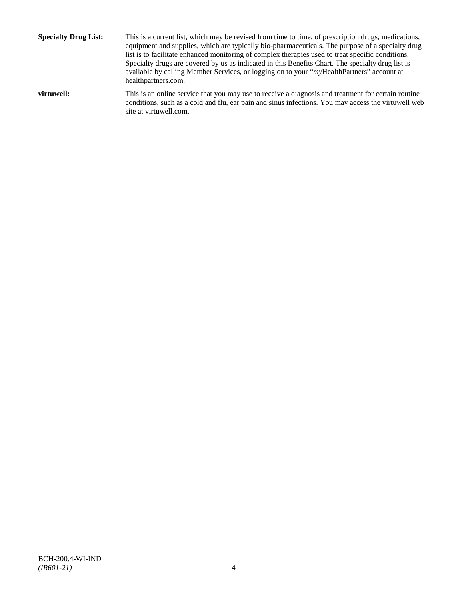**Specialty Drug List:** This is a current list, which may be revised from time to time, of prescription drugs, medications, equipment and supplies, which are typically bio-pharmaceuticals. The purpose of a specialty drug list is to facilitate enhanced monitoring of complex therapies used to treat specific conditions. Specialty drugs are covered by us as indicated in this Benefits Chart. The specialty drug list is available by calling Member Services, or logging on to your "*my*HealthPartners" account at [healthpartners.com.](http://www.healthpartners.com/) **virtuwell:** This is an online service that you may use to receive a diagnosis and treatment for certain routine conditions, such as a cold and flu, ear pain and sinus infections. You may access the virtuwell web

site a[t virtuwell.com.](http://www.virtuwell.com/)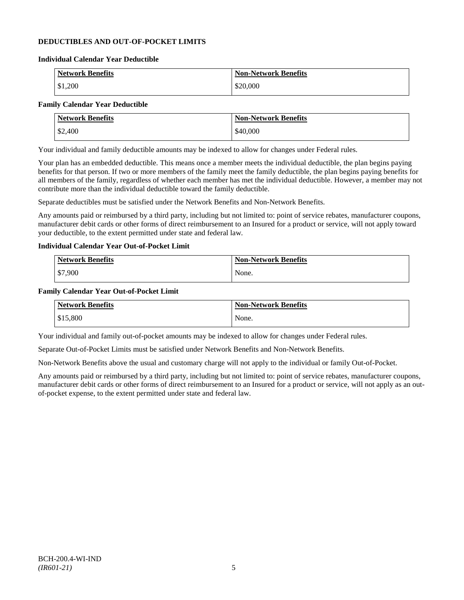## **DEDUCTIBLES AND OUT-OF-POCKET LIMITS**

### **Individual Calendar Year Deductible**

| <b>Network Benefits</b> | <b>Non-Network Benefits</b> |
|-------------------------|-----------------------------|
| \$1,200                 | \$20,000                    |

## **Family Calendar Year Deductible**

| <b>Network Benefits</b> | <b>Non-Network Benefits</b> |
|-------------------------|-----------------------------|
| \$2,400                 | \$40,000                    |

Your individual and family deductible amounts may be indexed to allow for changes under Federal rules.

Your plan has an embedded deductible. This means once a member meets the individual deductible, the plan begins paying benefits for that person. If two or more members of the family meet the family deductible, the plan begins paying benefits for all members of the family, regardless of whether each member has met the individual deductible. However, a member may not contribute more than the individual deductible toward the family deductible.

Separate deductibles must be satisfied under the Network Benefits and Non-Network Benefits.

Any amounts paid or reimbursed by a third party, including but not limited to: point of service rebates, manufacturer coupons, manufacturer debit cards or other forms of direct reimbursement to an Insured for a product or service, will not apply toward your deductible, to the extent permitted under state and federal law.

## **Individual Calendar Year Out-of-Pocket Limit**

| Network Benefits | <b>Non-Network Benefits</b> |
|------------------|-----------------------------|
| \$7,900          | None.                       |

### **Family Calendar Year Out-of-Pocket Limit**

| <b>Network Benefits</b> | <b>Non-Network Benefits</b> |
|-------------------------|-----------------------------|
| \$15,800                | None.                       |

Your individual and family out-of-pocket amounts may be indexed to allow for changes under Federal rules.

Separate Out-of-Pocket Limits must be satisfied under Network Benefits and Non-Network Benefits.

Non-Network Benefits above the usual and customary charge will not apply to the individual or family Out-of-Pocket.

Any amounts paid or reimbursed by a third party, including but not limited to: point of service rebates, manufacturer coupons, manufacturer debit cards or other forms of direct reimbursement to an Insured for a product or service, will not apply as an outof-pocket expense, to the extent permitted under state and federal law.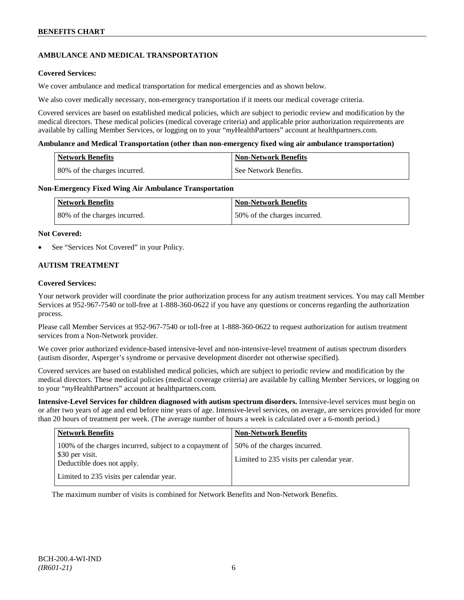## **AMBULANCE AND MEDICAL TRANSPORTATION**

## **Covered Services:**

We cover ambulance and medical transportation for medical emergencies and as shown below.

We also cover medically necessary, non-emergency transportation if it meets our medical coverage criteria.

Covered services are based on established medical policies, which are subject to periodic review and modification by the medical directors. These medical policies (medical coverage criteria) and applicable prior authorization requirements are available by calling Member Services, or logging on to your "*my*HealthPartners" account a[t healthpartners.com.](http://www.healthpartners.com/)

### **Ambulance and Medical Transportation (other than non-emergency fixed wing air ambulance transportation)**

| Network Benefits             | <b>Non-Network Benefits</b> |
|------------------------------|-----------------------------|
| 80% of the charges incurred. | See Network Benefits.       |

### **Non-Emergency Fixed Wing Air Ambulance Transportation**

| <b>Network Benefits</b>      | <b>Non-Network Benefits</b>  |
|------------------------------|------------------------------|
| 80% of the charges incurred. | 50% of the charges incurred. |

### **Not Covered:**

See "Services Not Covered" in your Policy.

## **AUTISM TREATMENT**

## **Covered Services:**

Your network provider will coordinate the prior authorization process for any autism treatment services. You may call Member Services at 952-967-7540 or toll-free at 1-888-360-0622 if you have any questions or concerns regarding the authorization process.

Please call Member Services at 952-967-7540 or toll-free at 1-888-360-0622 to request authorization for autism treatment services from a Non-Network provider.

We cover prior authorized evidence-based intensive-level and non-intensive-level treatment of autism spectrum disorders (autism disorder, Asperger's syndrome or pervasive development disorder not otherwise specified).

Covered services are based on established medical policies, which are subject to periodic review and modification by the medical directors. These medical policies (medical coverage criteria) are available by calling Member Services, or logging on to your "*my*HealthPartners" account at [healthpartners.com.](http://www.healthpartners.com/)

**Intensive-Level Services for children diagnosed with autism spectrum disorders.** Intensive-level services must begin on or after two years of age and end before nine years of age. Intensive-level services, on average, are services provided for more than 20 hours of treatment per week. (The average number of hours a week is calculated over a 6-month period.)

| <b>Network Benefits</b>                                                                                    | <b>Non-Network Benefits</b>                                              |
|------------------------------------------------------------------------------------------------------------|--------------------------------------------------------------------------|
| 100% of the charges incurred, subject to a copayment of  <br>\$30 per visit.<br>Deductible does not apply. | 50% of the charges incurred.<br>Limited to 235 visits per calendar year. |
| Limited to 235 visits per calendar year.                                                                   |                                                                          |

The maximum number of visits is combined for Network Benefits and Non-Network Benefits.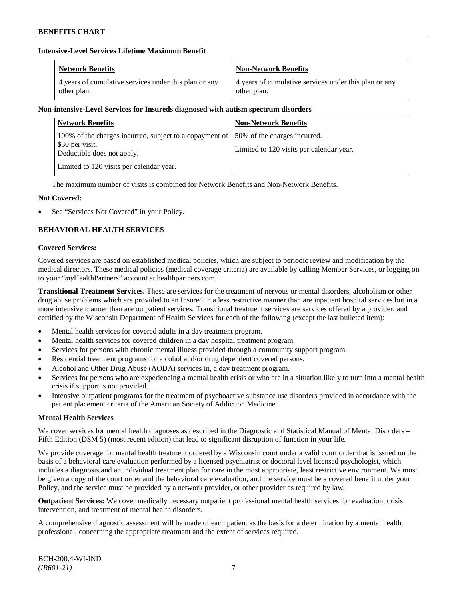## **Intensive-Level Services Lifetime Maximum Benefit**

| <b>Network Benefits</b>                               | <b>Non-Network Benefits</b>                           |
|-------------------------------------------------------|-------------------------------------------------------|
| 4 years of cumulative services under this plan or any | 4 years of cumulative services under this plan or any |
| other plan.                                           | other plan.                                           |

## **Non-intensive-Level Services for Insureds diagnosed with autism spectrum disorders**

| <b>Network Benefits</b>                                                                                  | <b>Non-Network Benefits</b>                                              |
|----------------------------------------------------------------------------------------------------------|--------------------------------------------------------------------------|
| 100% of the charges incurred, subject to a copayment of<br>\$30 per visit.<br>Deductible does not apply. | 50% of the charges incurred.<br>Limited to 120 visits per calendar year. |
| Limited to 120 visits per calendar year.                                                                 |                                                                          |

The maximum number of visits is combined for Network Benefits and Non-Network Benefits.

## **Not Covered:**

See "Services Not Covered" in your Policy.

## **BEHAVIORAL HEALTH SERVICES**

### **Covered Services:**

Covered services are based on established medical policies, which are subject to periodic review and modification by the medical directors. These medical policies (medical coverage criteria) are available by calling Member Services, or logging on to your "*my*HealthPartners" account at [healthpartners.com.](http://www.healthpartners.com/)

**Transitional Treatment Services.** These are services for the treatment of nervous or mental disorders, alcoholism or other drug abuse problems which are provided to an Insured in a less restrictive manner than are inpatient hospital services but in a more intensive manner than are outpatient services. Transitional treatment services are services offered by a provider, and certified by the Wisconsin Department of Health Services for each of the following (except the last bulleted item):

- Mental health services for covered adults in a day treatment program.
- Mental health services for covered children in a day hospital treatment program.
- Services for persons with chronic mental illness provided through a community support program.
- Residential treatment programs for alcohol and/or drug dependent covered persons.
- Alcohol and Other Drug Abuse (AODA) services in, a day treatment program.
- Services for persons who are experiencing a mental health crisis or who are in a situation likely to turn into a mental health crisis if support is not provided.
- Intensive outpatient programs for the treatment of psychoactive substance use disorders provided in accordance with the patient placement criteria of the American Society of Addiction Medicine.

## **Mental Health Services**

We cover services for mental health diagnoses as described in the Diagnostic and Statistical Manual of Mental Disorders – Fifth Edition (DSM 5) (most recent edition) that lead to significant disruption of function in your life.

We provide coverage for mental health treatment ordered by a Wisconsin court under a valid court order that is issued on the basis of a behavioral care evaluation performed by a licensed psychiatrist or doctoral level licensed psychologist, which includes a diagnosis and an individual treatment plan for care in the most appropriate, least restrictive environment. We must be given a copy of the court order and the behavioral care evaluation, and the service must be a covered benefit under your Policy, and the service must be provided by a network provider, or other provider as required by law.

**Outpatient Services:** We cover medically necessary outpatient professional mental health services for evaluation, crisis intervention, and treatment of mental health disorders.

A comprehensive diagnostic assessment will be made of each patient as the basis for a determination by a mental health professional, concerning the appropriate treatment and the extent of services required.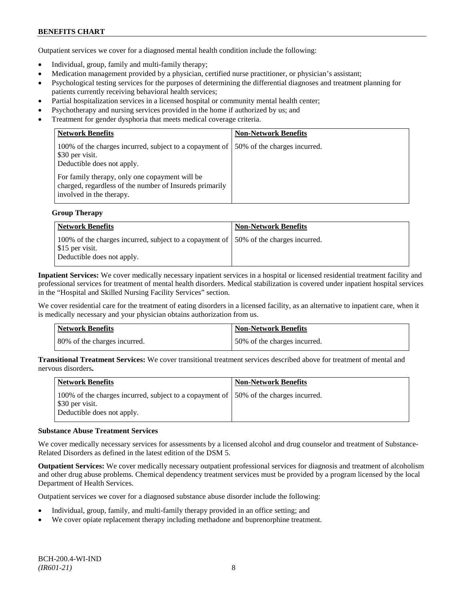Outpatient services we cover for a diagnosed mental health condition include the following:

- Individual, group, family and multi-family therapy;
- Medication management provided by a physician, certified nurse practitioner, or physician's assistant;
- Psychological testing services for the purposes of determining the differential diagnoses and treatment planning for patients currently receiving behavioral health services;
- Partial hospitalization services in a licensed hospital or community mental health center;
- Psychotherapy and nursing services provided in the home if authorized by us; and
- Treatment for gender dysphoria that meets medical coverage criteria.

| <b>Network Benefits</b>                                                                                                               | <b>Non-Network Benefits</b>  |
|---------------------------------------------------------------------------------------------------------------------------------------|------------------------------|
| 100% of the charges incurred, subject to a copayment of<br>\$30 per visit.<br>Deductible does not apply.                              | 50% of the charges incurred. |
| For family therapy, only one copayment will be<br>charged, regardless of the number of Insureds primarily<br>involved in the therapy. |                              |

### **Group Therapy**

| Network Benefits                                                                                                                       | <b>Non-Network Benefits</b> |
|----------------------------------------------------------------------------------------------------------------------------------------|-----------------------------|
| 100% of the charges incurred, subject to a copayment of 150% of the charges incurred.<br>\$15 per visit.<br>Deductible does not apply. |                             |

**Inpatient Services:** We cover medically necessary inpatient services in a hospital or licensed residential treatment facility and professional services for treatment of mental health disorders. Medical stabilization is covered under inpatient hospital services in the "Hospital and Skilled Nursing Facility Services" section.

We cover residential care for the treatment of eating disorders in a licensed facility, as an alternative to inpatient care, when it is medically necessary and your physician obtains authorization from us.

| <b>Network Benefits</b>      | <b>Non-Network Benefits</b>  |
|------------------------------|------------------------------|
| 80% of the charges incurred. | 50% of the charges incurred. |

**Transitional Treatment Services:** We cover transitional treatment services described above for treatment of mental and nervous disorders**.**

| Network Benefits                                                                                                                      | <b>Non-Network Benefits</b> |
|---------------------------------------------------------------------------------------------------------------------------------------|-----------------------------|
| 100% of the charges incurred, subject to a copayment of 150% of the charges incurred.<br>S30 per visit.<br>Deductible does not apply. |                             |

#### **Substance Abuse Treatment Services**

We cover medically necessary services for assessments by a licensed alcohol and drug counselor and treatment of Substance-Related Disorders as defined in the latest edition of the DSM 5.

**Outpatient Services:** We cover medically necessary outpatient professional services for diagnosis and treatment of alcoholism and other drug abuse problems. Chemical dependency treatment services must be provided by a program licensed by the local Department of Health Services.

Outpatient services we cover for a diagnosed substance abuse disorder include the following:

- Individual, group, family, and multi-family therapy provided in an office setting; and
- We cover opiate replacement therapy including methadone and buprenorphine treatment.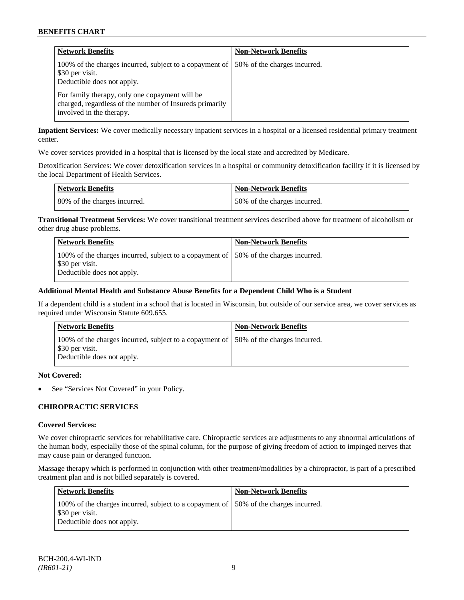| <b>Network Benefits</b>                                                                                                               | <b>Non-Network Benefits</b>  |
|---------------------------------------------------------------------------------------------------------------------------------------|------------------------------|
| 100% of the charges incurred, subject to a copayment of<br>\$30 per visit.<br>Deductible does not apply.                              | 50% of the charges incurred. |
| For family therapy, only one copayment will be<br>charged, regardless of the number of Insureds primarily<br>involved in the therapy. |                              |

**Inpatient Services:** We cover medically necessary inpatient services in a hospital or a licensed residential primary treatment center.

We cover services provided in a hospital that is licensed by the local state and accredited by Medicare.

Detoxification Services: We cover detoxification services in a hospital or community detoxification facility if it is licensed by the local Department of Health Services.

| <b>Network Benefits</b>      | <b>Non-Network Benefits</b>  |
|------------------------------|------------------------------|
| 80% of the charges incurred. | 50% of the charges incurred. |

**Transitional Treatment Services:** We cover transitional treatment services described above for treatment of alcoholism or other drug abuse problems.

| <b>Network Benefits</b>                                                                                                                | <b>Non-Network Benefits</b> |
|----------------------------------------------------------------------------------------------------------------------------------------|-----------------------------|
| 100% of the charges incurred, subject to a copayment of 150% of the charges incurred.<br>\$30 per visit.<br>Deductible does not apply. |                             |

## **Additional Mental Health and Substance Abuse Benefits for a Dependent Child Who is a Student**

If a dependent child is a student in a school that is located in Wisconsin, but outside of our service area, we cover services as required under Wisconsin Statute 609.655.

| <b>Network Benefits</b>                                                                                                                | <b>Non-Network Benefits</b> |
|----------------------------------------------------------------------------------------------------------------------------------------|-----------------------------|
| 100% of the charges incurred, subject to a copayment of 150% of the charges incurred.<br>\$30 per visit.<br>Deductible does not apply. |                             |

### **Not Covered:**

See "Services Not Covered" in your Policy.

### **CHIROPRACTIC SERVICES**

#### **Covered Services:**

We cover chiropractic services for rehabilitative care. Chiropractic services are adjustments to any abnormal articulations of the human body, especially those of the spinal column, for the purpose of giving freedom of action to impinged nerves that may cause pain or deranged function.

Massage therapy which is performed in conjunction with other treatment/modalities by a chiropractor, is part of a prescribed treatment plan and is not billed separately is covered.

| <b>Network Benefits</b>                                                                                                                | <b>Non-Network Benefits</b> |
|----------------------------------------------------------------------------------------------------------------------------------------|-----------------------------|
| 100% of the charges incurred, subject to a copayment of 150% of the charges incurred.<br>\$30 per visit.<br>Deductible does not apply. |                             |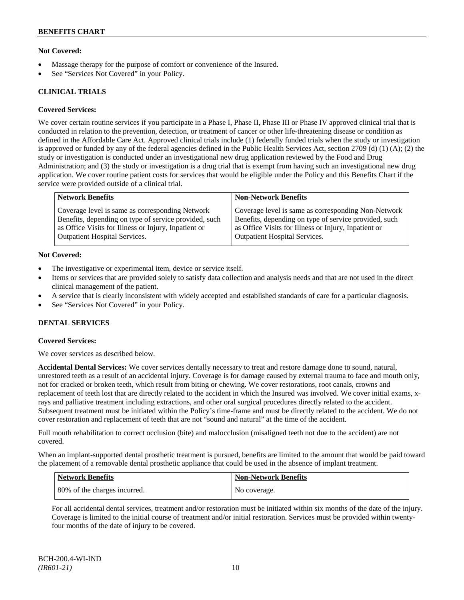## **Not Covered:**

- Massage therapy for the purpose of comfort or convenience of the Insured.
- See "Services Not Covered" in your Policy.

## **CLINICAL TRIALS**

### **Covered Services:**

We cover certain routine services if you participate in a Phase I, Phase II, Phase III or Phase IV approved clinical trial that is conducted in relation to the prevention, detection, or treatment of cancer or other life-threatening disease or condition as defined in the Affordable Care Act. Approved clinical trials include (1) federally funded trials when the study or investigation is approved or funded by any of the federal agencies defined in the Public Health Services Act, section 2709 (d) (1) (A); (2) the study or investigation is conducted under an investigational new drug application reviewed by the Food and Drug Administration; and (3) the study or investigation is a drug trial that is exempt from having such an investigational new drug application. We cover routine patient costs for services that would be eligible under the Policy and this Benefits Chart if the service were provided outside of a clinical trial.

| <b>Network Benefits</b>                               | <b>Non-Network Benefits</b>                           |
|-------------------------------------------------------|-------------------------------------------------------|
| Coverage level is same as corresponding Network       | Coverage level is same as corresponding Non-Network   |
| Benefits, depending on type of service provided, such | Benefits, depending on type of service provided, such |
| as Office Visits for Illness or Injury, Inpatient or  | as Office Visits for Illness or Injury, Inpatient or  |
| <b>Outpatient Hospital Services.</b>                  | <b>Outpatient Hospital Services.</b>                  |
|                                                       |                                                       |

### **Not Covered:**

- The investigative or experimental item, device or service itself.
- Items or services that are provided solely to satisfy data collection and analysis needs and that are not used in the direct clinical management of the patient.
- A service that is clearly inconsistent with widely accepted and established standards of care for a particular diagnosis.
- See "Services Not Covered" in your Policy.

## **DENTAL SERVICES**

#### **Covered Services:**

We cover services as described below.

**Accidental Dental Services:** We cover services dentally necessary to treat and restore damage done to sound, natural, unrestored teeth as a result of an accidental injury. Coverage is for damage caused by external trauma to face and mouth only, not for cracked or broken teeth, which result from biting or chewing. We cover restorations, root canals, crowns and replacement of teeth lost that are directly related to the accident in which the Insured was involved. We cover initial exams, xrays and palliative treatment including extractions, and other oral surgical procedures directly related to the accident. Subsequent treatment must be initiated within the Policy's time-frame and must be directly related to the accident. We do not cover restoration and replacement of teeth that are not "sound and natural" at the time of the accident.

Full mouth rehabilitation to correct occlusion (bite) and malocclusion (misaligned teeth not due to the accident) are not covered.

When an implant-supported dental prosthetic treatment is pursued, benefits are limited to the amount that would be paid toward the placement of a removable dental prosthetic appliance that could be used in the absence of implant treatment.

| <b>Network Benefits</b>       | <b>Non-Network Benefits</b> |
|-------------------------------|-----------------------------|
| 180% of the charges incurred. | No coverage.                |

For all accidental dental services, treatment and/or restoration must be initiated within six months of the date of the injury. Coverage is limited to the initial course of treatment and/or initial restoration. Services must be provided within twentyfour months of the date of injury to be covered.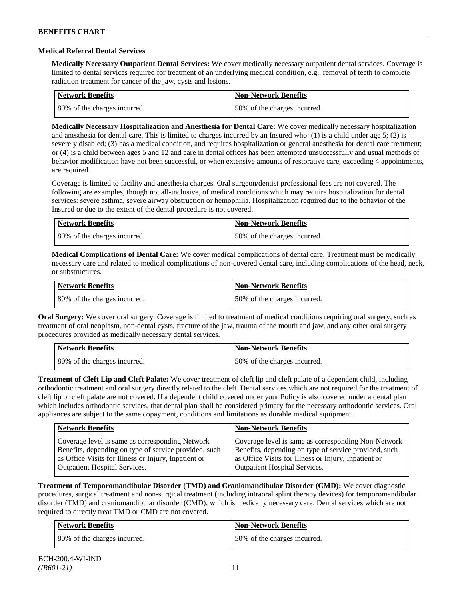### **Medical Referral Dental Services**

**Medically Necessary Outpatient Dental Services:** We cover medically necessary outpatient dental services. Coverage is limited to dental services required for treatment of an underlying medical condition, e.g., removal of teeth to complete radiation treatment for cancer of the jaw, cysts and lesions.

| <b>Network Benefits</b>      | <b>Non-Network Benefits</b>  |
|------------------------------|------------------------------|
| 80% of the charges incurred. | 50% of the charges incurred. |

**Medically Necessary Hospitalization and Anesthesia for Dental Care:** We cover medically necessary hospitalization and anesthesia for dental care. This is limited to charges incurred by an Insured who: (1) is a child under age 5; (2) is severely disabled; (3) has a medical condition, and requires hospitalization or general anesthesia for dental care treatment; or (4) is a child between ages 5 and 12 and care in dental offices has been attempted unsuccessfully and usual methods of behavior modification have not been successful, or when extensive amounts of restorative care, exceeding 4 appointments, are required.

Coverage is limited to facility and anesthesia charges. Oral surgeon/dentist professional fees are not covered. The following are examples, though not all-inclusive, of medical conditions which may require hospitalization for dental services: severe asthma, severe airway obstruction or hemophilia. Hospitalization required due to the behavior of the Insured or due to the extent of the dental procedure is not covered.

| Network Benefits             | <b>Non-Network Benefits</b>  |
|------------------------------|------------------------------|
| 80% of the charges incurred. | 50% of the charges incurred. |

**Medical Complications of Dental Care:** We cover medical complications of dental care. Treatment must be medically necessary care and related to medical complications of non-covered dental care, including complications of the head, neck, or substructures.

| Network Benefits             | <b>Non-Network Benefits</b>  |
|------------------------------|------------------------------|
| 80% of the charges incurred. | 50% of the charges incurred. |

**Oral Surgery:** We cover oral surgery. Coverage is limited to treatment of medical conditions requiring oral surgery, such as treatment of oral neoplasm, non-dental cysts, fracture of the jaw, trauma of the mouth and jaw, and any other oral surgery procedures provided as medically necessary dental services.

| <b>Network Benefits</b>      | Non-Network Benefits         |
|------------------------------|------------------------------|
| 80% of the charges incurred. | 50% of the charges incurred. |

**Treatment of Cleft Lip and Cleft Palate:** We cover treatment of cleft lip and cleft palate of a dependent child, including orthodontic treatment and oral surgery directly related to the cleft. Dental services which are not required for the treatment of cleft lip or cleft palate are not covered. If a dependent child covered under your Policy is also covered under a dental plan which includes orthodontic services, that dental plan shall be considered primary for the necessary orthodontic services. Oral appliances are subject to the same copayment, conditions and limitations as durable medical equipment.

| <b>Network Benefits</b>                               | <b>Non-Network Benefits</b>                           |
|-------------------------------------------------------|-------------------------------------------------------|
| Coverage level is same as corresponding Network       | Coverage level is same as corresponding Non-Network   |
| Benefits, depending on type of service provided, such | Benefits, depending on type of service provided, such |
| as Office Visits for Illness or Injury, Inpatient or  | as Office Visits for Illness or Injury, Inpatient or  |
| <b>Outpatient Hospital Services.</b>                  | <b>Outpatient Hospital Services.</b>                  |

**Treatment of Temporomandibular Disorder (TMD) and Craniomandibular Disorder (CMD):** We cover diagnostic procedures, surgical treatment and non-surgical treatment (including intraoral splint therapy devices) for temporomandibular disorder (TMD) and craniomandibular disorder (CMD), which is medically necessary care. Dental services which are not required to directly treat TMD or CMD are not covered.

| <b>Network Benefits</b>      | <b>Non-Network Benefits</b>  |
|------------------------------|------------------------------|
| 80% of the charges incurred. | 50% of the charges incurred. |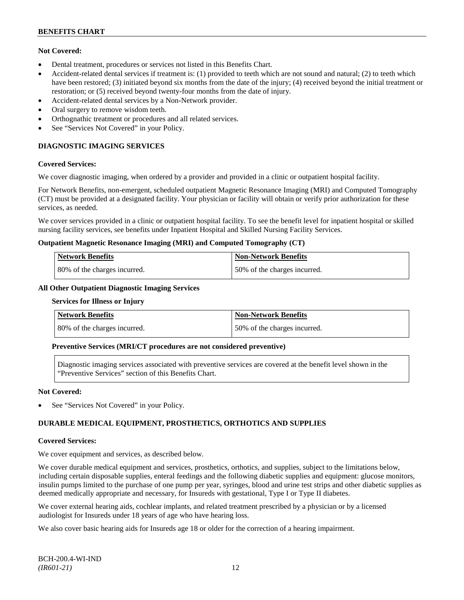## **Not Covered:**

- Dental treatment, procedures or services not listed in this Benefits Chart.
- Accident-related dental services if treatment is: (1) provided to teeth which are not sound and natural; (2) to teeth which have been restored; (3) initiated beyond six months from the date of the injury; (4) received beyond the initial treatment or restoration; or (5) received beyond twenty-four months from the date of injury.
- Accident-related dental services by a Non-Network provider.
- Oral surgery to remove wisdom teeth.
- Orthognathic treatment or procedures and all related services.
- See "Services Not Covered" in your Policy.

## **DIAGNOSTIC IMAGING SERVICES**

### **Covered Services:**

We cover diagnostic imaging, when ordered by a provider and provided in a clinic or outpatient hospital facility.

For Network Benefits, non-emergent, scheduled outpatient Magnetic Resonance Imaging (MRI) and Computed Tomography (CT) must be provided at a designated facility. Your physician or facility will obtain or verify prior authorization for these services, as needed.

We cover services provided in a clinic or outpatient hospital facility. To see the benefit level for inpatient hospital or skilled nursing facility services, see benefits under Inpatient Hospital and Skilled Nursing Facility Services.

### **Outpatient Magnetic Resonance Imaging (MRI) and Computed Tomography (CT)**

| <b>Network Benefits</b>      | <b>Non-Network Benefits</b>   |
|------------------------------|-------------------------------|
| 80% of the charges incurred. | 150% of the charges incurred. |

### **All Other Outpatient Diagnostic Imaging Services**

#### **Services for Illness or Injury**

| <b>Network Benefits</b>      | <b>Non-Network Benefits</b>  |
|------------------------------|------------------------------|
| 80% of the charges incurred. | 50% of the charges incurred. |

## **Preventive Services (MRI/CT procedures are not considered preventive)**

Diagnostic imaging services associated with preventive services are covered at the benefit level shown in the "Preventive Services" section of this Benefits Chart.

### **Not Covered:**

See "Services Not Covered" in your Policy.

## **DURABLE MEDICAL EQUIPMENT, PROSTHETICS, ORTHOTICS AND SUPPLIES**

#### **Covered Services:**

We cover equipment and services, as described below.

We cover durable medical equipment and services, prosthetics, orthotics, and supplies, subject to the limitations below, including certain disposable supplies, enteral feedings and the following diabetic supplies and equipment: glucose monitors, insulin pumps limited to the purchase of one pump per year, syringes, blood and urine test strips and other diabetic supplies as deemed medically appropriate and necessary, for Insureds with gestational, Type I or Type II diabetes.

We cover external hearing aids, cochlear implants, and related treatment prescribed by a physician or by a licensed audiologist for Insureds under 18 years of age who have hearing loss.

We also cover basic hearing aids for Insureds age 18 or older for the correction of a hearing impairment.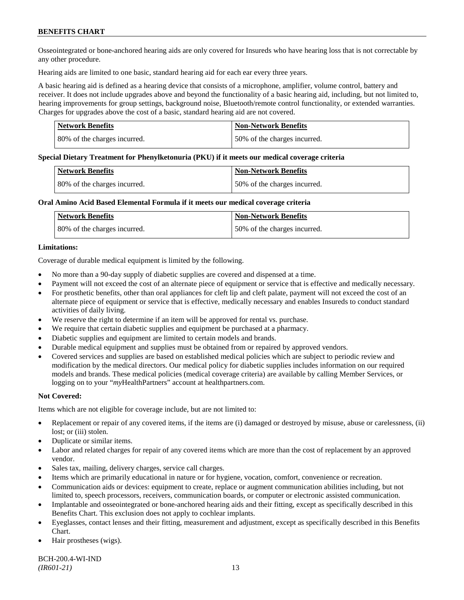Osseointegrated or bone-anchored hearing aids are only covered for Insureds who have hearing loss that is not correctable by any other procedure.

Hearing aids are limited to one basic, standard hearing aid for each ear every three years.

A basic hearing aid is defined as a hearing device that consists of a microphone, amplifier, volume control, battery and receiver. It does not include upgrades above and beyond the functionality of a basic hearing aid, including, but not limited to, hearing improvements for group settings, background noise, Bluetooth/remote control functionality, or extended warranties. Charges for upgrades above the cost of a basic, standard hearing aid are not covered.

| <b>Network Benefits</b>      | <b>Non-Network Benefits</b>  |
|------------------------------|------------------------------|
| 80% of the charges incurred. | 50% of the charges incurred. |

#### **Special Dietary Treatment for Phenylketonuria (PKU) if it meets our medical coverage criteria**

| <b>Network Benefits</b>      | <b>Non-Network Benefits</b>  |
|------------------------------|------------------------------|
| 80% of the charges incurred. | 50% of the charges incurred. |

### **Oral Amino Acid Based Elemental Formula if it meets our medical coverage criteria**

| Network Benefits             | <b>Non-Network Benefits</b>  |
|------------------------------|------------------------------|
| 80% of the charges incurred. | 50% of the charges incurred. |

### **Limitations:**

Coverage of durable medical equipment is limited by the following.

- No more than a 90-day supply of diabetic supplies are covered and dispensed at a time.
- Payment will not exceed the cost of an alternate piece of equipment or service that is effective and medically necessary.
- For prosthetic benefits, other than oral appliances for cleft lip and cleft palate, payment will not exceed the cost of an alternate piece of equipment or service that is effective, medically necessary and enables Insureds to conduct standard activities of daily living.
- We reserve the right to determine if an item will be approved for rental vs. purchase.
- We require that certain diabetic supplies and equipment be purchased at a pharmacy.
- Diabetic supplies and equipment are limited to certain models and brands.
- Durable medical equipment and supplies must be obtained from or repaired by approved vendors.
- Covered services and supplies are based on established medical policies which are subject to periodic review and modification by the medical directors. Our medical policy for diabetic supplies includes information on our required models and brands. These medical policies (medical coverage criteria) are available by calling Member Services, or logging on to your "*my*HealthPartners" account at [healthpartners.com.](http://www.healthpartners.com/)

## **Not Covered:**

Items which are not eligible for coverage include, but are not limited to:

- Replacement or repair of any covered items, if the items are (i) damaged or destroyed by misuse, abuse or carelessness, (ii) lost; or (iii) stolen.
- Duplicate or similar items.
- Labor and related charges for repair of any covered items which are more than the cost of replacement by an approved vendor.
- Sales tax, mailing, delivery charges, service call charges.
- Items which are primarily educational in nature or for hygiene, vocation, comfort, convenience or recreation.
- Communication aids or devices: equipment to create, replace or augment communication abilities including, but not limited to, speech processors, receivers, communication boards, or computer or electronic assisted communication.
- Implantable and osseointegrated or bone-anchored hearing aids and their fitting, except as specifically described in this Benefits Chart. This exclusion does not apply to cochlear implants.
- Eyeglasses, contact lenses and their fitting, measurement and adjustment, except as specifically described in this Benefits Chart.
- Hair prostheses (wigs).

BCH-200.4-WI-IND *(IR601-21)* 13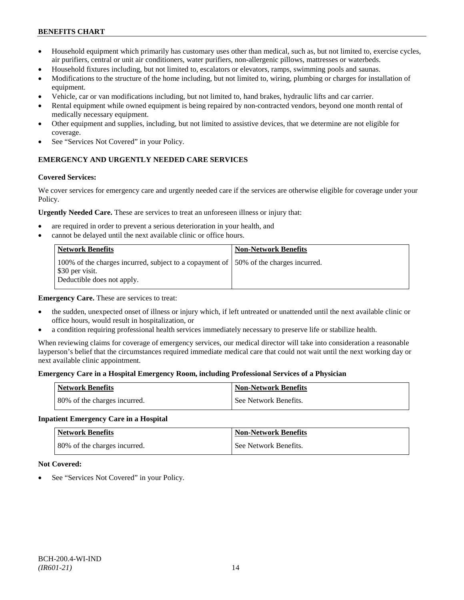- Household equipment which primarily has customary uses other than medical, such as, but not limited to, exercise cycles, air purifiers, central or unit air conditioners, water purifiers, non-allergenic pillows, mattresses or waterbeds.
- Household fixtures including, but not limited to, escalators or elevators, ramps, swimming pools and saunas.
- Modifications to the structure of the home including, but not limited to, wiring, plumbing or charges for installation of equipment.
- Vehicle, car or van modifications including, but not limited to, hand brakes, hydraulic lifts and car carrier.
- Rental equipment while owned equipment is being repaired by non-contracted vendors, beyond one month rental of medically necessary equipment.
- Other equipment and supplies, including, but not limited to assistive devices, that we determine are not eligible for coverage.
- See "Services Not Covered" in your Policy.

## **EMERGENCY AND URGENTLY NEEDED CARE SERVICES**

### **Covered Services:**

We cover services for emergency care and urgently needed care if the services are otherwise eligible for coverage under your Policy.

**Urgently Needed Care.** These are services to treat an unforeseen illness or injury that:

- are required in order to prevent a serious deterioration in your health, and
- cannot be delayed until the next available clinic or office hours.

| <b>Network Benefits</b>                                                                                                                | <b>Non-Network Benefits</b> |
|----------------------------------------------------------------------------------------------------------------------------------------|-----------------------------|
| 100% of the charges incurred, subject to a copayment of 150% of the charges incurred.<br>\$30 per visit.<br>Deductible does not apply. |                             |

**Emergency Care.** These are services to treat:

- the sudden, unexpected onset of illness or injury which, if left untreated or unattended until the next available clinic or office hours, would result in hospitalization, or
- a condition requiring professional health services immediately necessary to preserve life or stabilize health.

When reviewing claims for coverage of emergency services, our medical director will take into consideration a reasonable layperson's belief that the circumstances required immediate medical care that could not wait until the next working day or next available clinic appointment.

#### **Emergency Care in a Hospital Emergency Room, including Professional Services of a Physician**

| <b>Network Benefits</b>      | <b>Non-Network Benefits</b> |
|------------------------------|-----------------------------|
| 80% of the charges incurred. | See Network Benefits.       |

## **Inpatient Emergency Care in a Hospital**

| <b>Network Benefits</b>      | <b>Non-Network Benefits</b> |
|------------------------------|-----------------------------|
| 80% of the charges incurred. | See Network Benefits.       |

#### **Not Covered:**

See "Services Not Covered" in your Policy.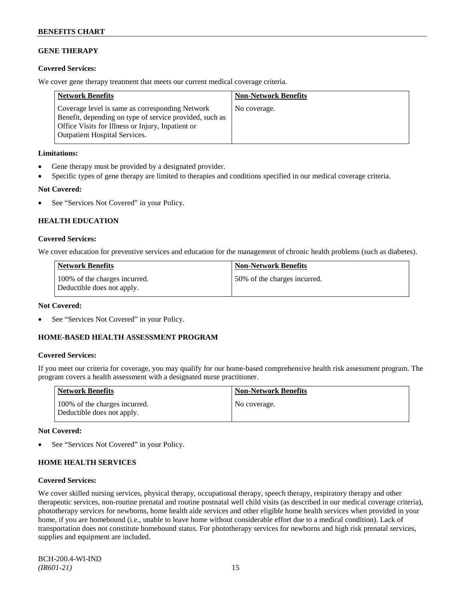## **GENE THERAPY**

## **Covered Services:**

We cover gene therapy treatment that meets our current medical coverage criteria.

| <b>Network Benefits</b>                                                                                                                                                                                 | <b>Non-Network Benefits</b> |
|---------------------------------------------------------------------------------------------------------------------------------------------------------------------------------------------------------|-----------------------------|
| Coverage level is same as corresponding Network<br>Benefit, depending on type of service provided, such as<br>Office Visits for Illness or Injury, Inpatient or<br><b>Outpatient Hospital Services.</b> | No coverage.                |

### **Limitations:**

- Gene therapy must be provided by a designated provider.
- Specific types of gene therapy are limited to therapies and conditions specified in our medical coverage criteria.

## **Not Covered:**

• See "Services Not Covered" in your Policy.

## **HEALTH EDUCATION**

## **Covered Services:**

We cover education for preventive services and education for the management of chronic health problems (such as diabetes).

| Network Benefits                                            | <b>Non-Network Benefits</b>  |
|-------------------------------------------------------------|------------------------------|
| 100% of the charges incurred.<br>Deductible does not apply. | 50% of the charges incurred. |

## **Not Covered:**

See "Services Not Covered" in your Policy.

## **HOME-BASED HEALTH ASSESSMENT PROGRAM**

## **Covered Services:**

If you meet our criteria for coverage, you may qualify for our home-based comprehensive health risk assessment program. The program covers a health assessment with a designated nurse practitioner.

| <b>Network Benefits</b>                                     | <b>Non-Network Benefits</b> |
|-------------------------------------------------------------|-----------------------------|
| 100% of the charges incurred.<br>Deductible does not apply. | No coverage.                |

## **Not Covered:**

See "Services Not Covered" in your Policy.

## **HOME HEALTH SERVICES**

#### **Covered Services:**

We cover skilled nursing services, physical therapy, occupational therapy, speech therapy, respiratory therapy and other therapeutic services, non-routine prenatal and routine postnatal well child visits (as described in our medical coverage criteria), phototherapy services for newborns, home health aide services and other eligible home health services when provided in your home, if you are homebound (i.e., unable to leave home without considerable effort due to a medical condition). Lack of transportation does not constitute homebound status. For phototherapy services for newborns and high risk prenatal services, supplies and equipment are included.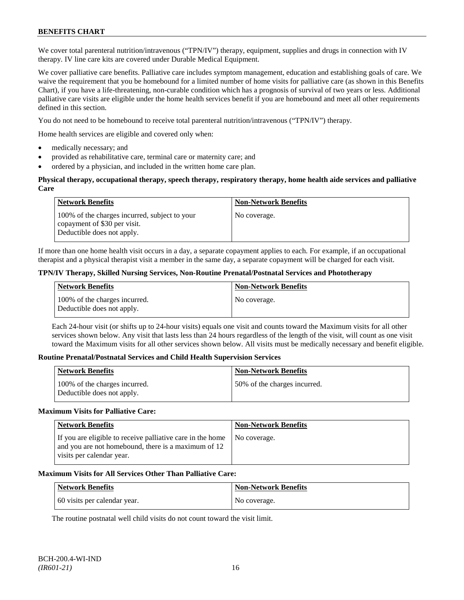We cover total parenteral nutrition/intravenous ("TPN/IV") therapy, equipment, supplies and drugs in connection with IV therapy. IV line care kits are covered under Durable Medical Equipment.

We cover palliative care benefits. Palliative care includes symptom management, education and establishing goals of care. We waive the requirement that you be homebound for a limited number of home visits for palliative care (as shown in this Benefits Chart), if you have a life-threatening, non-curable condition which has a prognosis of survival of two years or less. Additional palliative care visits are eligible under the home health services benefit if you are homebound and meet all other requirements defined in this section.

You do not need to be homebound to receive total parenteral nutrition/intravenous ("TPN/IV") therapy.

Home health services are eligible and covered only when:

- medically necessary; and
- provided as rehabilitative care, terminal care or maternity care; and
- ordered by a physician, and included in the written home care plan.

### **Physical therapy, occupational therapy, speech therapy, respiratory therapy, home health aide services and palliative Care**

| <b>Network Benefits</b>                                                                                     | <b>Non-Network Benefits</b> |
|-------------------------------------------------------------------------------------------------------------|-----------------------------|
| 100% of the charges incurred, subject to your<br>copayment of \$30 per visit.<br>Deductible does not apply. | No coverage.                |

If more than one home health visit occurs in a day, a separate copayment applies to each. For example, if an occupational therapist and a physical therapist visit a member in the same day, a separate copayment will be charged for each visit.

## **TPN/IV Therapy, Skilled Nursing Services, Non-Routine Prenatal/Postnatal Services and Phototherapy**

| Network Benefits                                            | <b>Non-Network Benefits</b> |
|-------------------------------------------------------------|-----------------------------|
| 100% of the charges incurred.<br>Deductible does not apply. | No coverage.                |

Each 24-hour visit (or shifts up to 24-hour visits) equals one visit and counts toward the Maximum visits for all other services shown below. Any visit that lasts less than 24 hours regardless of the length of the visit, will count as one visit toward the Maximum visits for all other services shown below. All visits must be medically necessary and benefit eligible.

#### **Routine Prenatal/Postnatal Services and Child Health Supervision Services**

| <b>Network Benefits</b>                                     | <b>Non-Network Benefits</b>  |
|-------------------------------------------------------------|------------------------------|
| 100% of the charges incurred.<br>Deductible does not apply. | 50% of the charges incurred. |

#### **Maximum Visits for Palliative Care:**

| <b>Network Benefits</b>                                                                                                                        | <b>Non-Network Benefits</b> |
|------------------------------------------------------------------------------------------------------------------------------------------------|-----------------------------|
| If you are eligible to receive palliative care in the home<br>and you are not homebound, there is a maximum of 12<br>visits per calendar year. | No coverage.                |

## **Maximum Visits for All Services Other Than Palliative Care:**

| Network Benefits             | <b>Non-Network Benefits</b> |
|------------------------------|-----------------------------|
| 60 visits per calendar year. | No coverage.                |

The routine postnatal well child visits do not count toward the visit limit.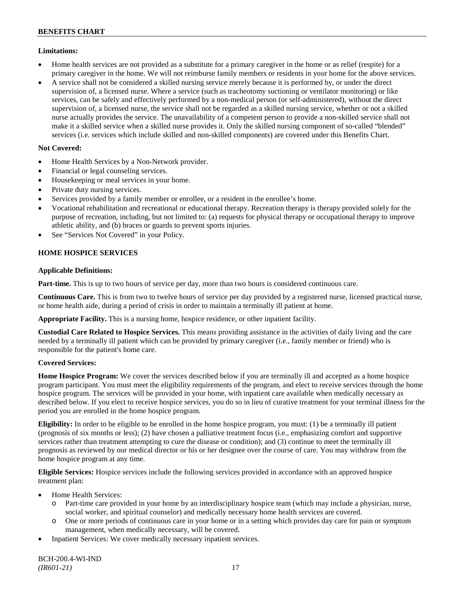## **Limitations:**

- Home health services are not provided as a substitute for a primary caregiver in the home or as relief (respite) for a primary caregiver in the home. We will not reimburse family members or residents in your home for the above services.
- A service shall not be considered a skilled nursing service merely because it is performed by, or under the direct supervision of, a licensed nurse. Where a service (such as tracheotomy suctioning or ventilator monitoring) or like services, can be safely and effectively performed by a non-medical person (or self-administered), without the direct supervision of, a licensed nurse, the service shall not be regarded as a skilled nursing service, whether or not a skilled nurse actually provides the service. The unavailability of a competent person to provide a non-skilled service shall not make it a skilled service when a skilled nurse provides it. Only the skilled nursing component of so-called "blended" services (i.e. services which include skilled and non-skilled components) are covered under this Benefits Chart.

## **Not Covered:**

- Home Health Services by a Non-Network provider.
- Financial or legal counseling services.
- Housekeeping or meal services in your home.
- Private duty nursing services.
- Services provided by a family member or enrollee, or a resident in the enrollee's home.
- Vocational rehabilitation and recreational or educational therapy. Recreation therapy is therapy provided solely for the purpose of recreation, including, but not limited to: (a) requests for physical therapy or occupational therapy to improve athletic ability, and (b) braces or guards to prevent sports injuries.
- See "Services Not Covered" in your Policy.

## **HOME HOSPICE SERVICES**

## **Applicable Definitions:**

**Part-time.** This is up to two hours of service per day, more than two hours is considered continuous care.

**Continuous Care.** This is from two to twelve hours of service per day provided by a registered nurse, licensed practical nurse, or home health aide, during a period of crisis in order to maintain a terminally ill patient at home.

**Appropriate Facility.** This is a nursing home, hospice residence, or other inpatient facility.

**Custodial Care Related to Hospice Services.** This means providing assistance in the activities of daily living and the care needed by a terminally ill patient which can be provided by primary caregiver (i.e., family member or friend) who is responsible for the patient's home care.

## **Covered Services:**

**Home Hospice Program:** We cover the services described below if you are terminally ill and accepted as a home hospice program participant. You must meet the eligibility requirements of the program, and elect to receive services through the home hospice program. The services will be provided in your home, with inpatient care available when medically necessary as described below. If you elect to receive hospice services, you do so in lieu of curative treatment for your terminal illness for the period you are enrolled in the home hospice program.

**Eligibility:** In order to be eligible to be enrolled in the home hospice program, you must: (1) be a terminally ill patient (prognosis of six months or less); (2) have chosen a palliative treatment focus (i.e., emphasizing comfort and supportive services rather than treatment attempting to cure the disease or condition); and (3) continue to meet the terminally ill prognosis as reviewed by our medical director or his or her designee over the course of care. You may withdraw from the home hospice program at any time.

**Eligible Services:** Hospice services include the following services provided in accordance with an approved hospice treatment plan:

- Home Health Services:
	- o Part-time care provided in your home by an interdisciplinary hospice team (which may include a physician, nurse, social worker, and spiritual counselor) and medically necessary home health services are covered.
	- o One or more periods of continuous care in your home or in a setting which provides day care for pain or symptom management, when medically necessary, will be covered.
- Inpatient Services: We cover medically necessary inpatient services.

BCH-200.4-WI-IND *(IR601-21)* 17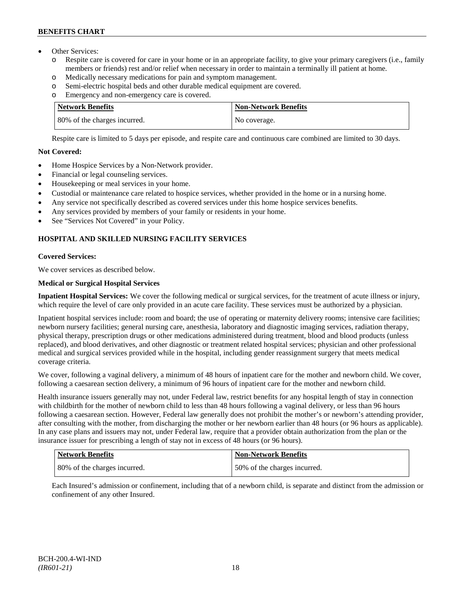- Other Services:
	- o Respite care is covered for care in your home or in an appropriate facility, to give your primary caregivers (i.e., family members or friends) rest and/or relief when necessary in order to maintain a terminally ill patient at home*.*
	- o Medically necessary medications for pain and symptom management.
	- o Semi-electric hospital beds and other durable medical equipment are covered.
	- o Emergency and non-emergency care is covered.

| <b>Network Benefits</b>      | <b>Non-Network Benefits</b> |
|------------------------------|-----------------------------|
| 80% of the charges incurred. | No coverage.                |

Respite care is limited to 5 days per episode, and respite care and continuous care combined are limited to 30 days.

## **Not Covered:**

- Home Hospice Services by a Non-Network provider.
- Financial or legal counseling services.
- Housekeeping or meal services in your home.
- Custodial or maintenance care related to hospice services, whether provided in the home or in a nursing home.
- Any service not specifically described as covered services under this home hospice services benefits.
- Any services provided by members of your family or residents in your home.
- See "Services Not Covered" in your Policy.

## **HOSPITAL AND SKILLED NURSING FACILITY SERVICES**

## **Covered Services:**

We cover services as described below.

## **Medical or Surgical Hospital Services**

**Inpatient Hospital Services:** We cover the following medical or surgical services, for the treatment of acute illness or injury, which require the level of care only provided in an acute care facility. These services must be authorized by a physician.

Inpatient hospital services include: room and board; the use of operating or maternity delivery rooms; intensive care facilities; newborn nursery facilities; general nursing care, anesthesia, laboratory and diagnostic imaging services, radiation therapy, physical therapy, prescription drugs or other medications administered during treatment, blood and blood products (unless replaced), and blood derivatives, and other diagnostic or treatment related hospital services; physician and other professional medical and surgical services provided while in the hospital, including gender reassignment surgery that meets medical coverage criteria.

We cover, following a vaginal delivery, a minimum of 48 hours of inpatient care for the mother and newborn child. We cover, following a caesarean section delivery, a minimum of 96 hours of inpatient care for the mother and newborn child.

Health insurance issuers generally may not, under Federal law, restrict benefits for any hospital length of stay in connection with childbirth for the mother of newborn child to less than 48 hours following a vaginal delivery, or less than 96 hours following a caesarean section. However, Federal law generally does not prohibit the mother's or newborn's attending provider, after consulting with the mother, from discharging the mother or her newborn earlier than 48 hours (or 96 hours as applicable). In any case plans and issuers may not, under Federal law, require that a provider obtain authorization from the plan or the insurance issuer for prescribing a length of stay not in excess of 48 hours (or 96 hours).

| Network Benefits             | Non-Network Benefits         |
|------------------------------|------------------------------|
| 80% of the charges incurred. | 50% of the charges incurred. |

Each Insured's admission or confinement, including that of a newborn child, is separate and distinct from the admission or confinement of any other Insured.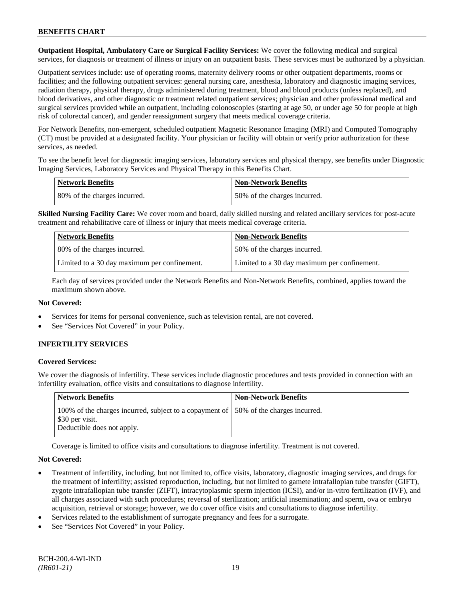**Outpatient Hospital, Ambulatory Care or Surgical Facility Services:** We cover the following medical and surgical services, for diagnosis or treatment of illness or injury on an outpatient basis. These services must be authorized by a physician.

Outpatient services include: use of operating rooms, maternity delivery rooms or other outpatient departments, rooms or facilities; and the following outpatient services: general nursing care, anesthesia, laboratory and diagnostic imaging services, radiation therapy, physical therapy, drugs administered during treatment, blood and blood products (unless replaced), and blood derivatives, and other diagnostic or treatment related outpatient services; physician and other professional medical and surgical services provided while an outpatient, including colonoscopies (starting at age 50, or under age 50 for people at high risk of colorectal cancer), and gender reassignment surgery that meets medical coverage criteria.

For Network Benefits, non-emergent, scheduled outpatient Magnetic Resonance Imaging (MRI) and Computed Tomography (CT) must be provided at a designated facility. Your physician or facility will obtain or verify prior authorization for these services, as needed.

To see the benefit level for diagnostic imaging services, laboratory services and physical therapy, see benefits under Diagnostic Imaging Services, Laboratory Services and Physical Therapy in this Benefits Chart.

| <b>Network Benefits</b>      | Non-Network Benefits         |
|------------------------------|------------------------------|
| 80% of the charges incurred. | 50% of the charges incurred. |

**Skilled Nursing Facility Care:** We cover room and board, daily skilled nursing and related ancillary services for post-acute treatment and rehabilitative care of illness or injury that meets medical coverage criteria.

| <b>Network Benefits</b>                      | <b>Non-Network Benefits</b>                  |
|----------------------------------------------|----------------------------------------------|
| 80% of the charges incurred.                 | 50% of the charges incurred.                 |
| Limited to a 30 day maximum per confinement. | Limited to a 30 day maximum per confinement. |

Each day of services provided under the Network Benefits and Non-Network Benefits, combined, applies toward the maximum shown above.

## **Not Covered:**

- Services for items for personal convenience, such as television rental, are not covered.
- See "Services Not Covered" in your Policy.

## **INFERTILITY SERVICES**

## **Covered Services:**

We cover the diagnosis of infertility. These services include diagnostic procedures and tests provided in connection with an infertility evaluation, office visits and consultations to diagnose infertility.

| Network Benefits                                                                                                                       | <b>Non-Network Benefits</b> |
|----------------------------------------------------------------------------------------------------------------------------------------|-----------------------------|
| 100% of the charges incurred, subject to a copayment of 150% of the charges incurred.<br>\$30 per visit.<br>Deductible does not apply. |                             |

Coverage is limited to office visits and consultations to diagnose infertility. Treatment is not covered.

## **Not Covered:**

- Treatment of infertility, including, but not limited to, office visits, laboratory, diagnostic imaging services, and drugs for the treatment of infertility; assisted reproduction, including, but not limited to gamete intrafallopian tube transfer (GIFT), zygote intrafallopian tube transfer (ZIFT), intracytoplasmic sperm injection (ICSI), and/or in-vitro fertilization (IVF), and all charges associated with such procedures; reversal of sterilization; artificial insemination; and sperm, ova or embryo acquisition, retrieval or storage; however, we do cover office visits and consultations to diagnose infertility.
- Services related to the establishment of surrogate pregnancy and fees for a surrogate.
- See "Services Not Covered" in your Policy.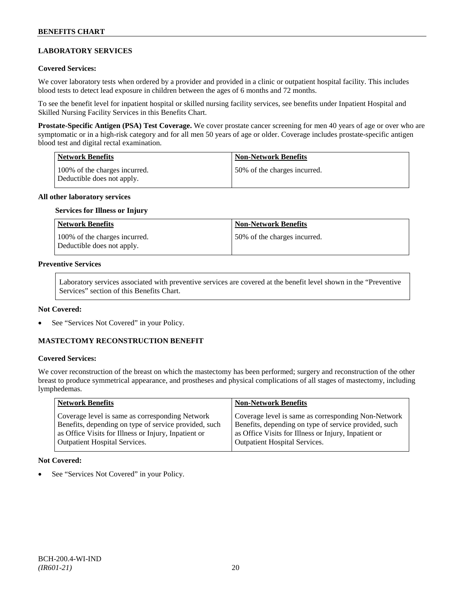## **LABORATORY SERVICES**

### **Covered Services:**

We cover laboratory tests when ordered by a provider and provided in a clinic or outpatient hospital facility. This includes blood tests to detect lead exposure in children between the ages of 6 months and 72 months.

To see the benefit level for inpatient hospital or skilled nursing facility services, see benefits under Inpatient Hospital and Skilled Nursing Facility Services in this Benefits Chart.

**Prostate-Specific Antigen (PSA) Test Coverage.** We cover prostate cancer screening for men 40 years of age or over who are symptomatic or in a high-risk category and for all men 50 years of age or older. Coverage includes prostate-specific antigen blood test and digital rectal examination.

| Network Benefits                                            | <b>Non-Network Benefits</b>  |
|-------------------------------------------------------------|------------------------------|
| 100% of the charges incurred.<br>Deductible does not apply. | 50% of the charges incurred. |

#### **All other laboratory services**

#### **Services for Illness or Injury**

| <b>Network Benefits</b>                                     | <b>Non-Network Benefits</b>  |
|-------------------------------------------------------------|------------------------------|
| 100% of the charges incurred.<br>Deductible does not apply. | 50% of the charges incurred. |

#### **Preventive Services**

Laboratory services associated with preventive services are covered at the benefit level shown in the "Preventive Services" section of this Benefits Chart.

#### **Not Covered:**

See "Services Not Covered" in your Policy.

## **MASTECTOMY RECONSTRUCTION BENEFIT**

## **Covered Services:**

We cover reconstruction of the breast on which the mastectomy has been performed; surgery and reconstruction of the other breast to produce symmetrical appearance, and prostheses and physical complications of all stages of mastectomy, including lymphedemas.

| <b>Network Benefits</b>                               | <b>Non-Network Benefits</b>                           |
|-------------------------------------------------------|-------------------------------------------------------|
| Coverage level is same as corresponding Network       | Coverage level is same as corresponding Non-Network   |
| Benefits, depending on type of service provided, such | Benefits, depending on type of service provided, such |
| as Office Visits for Illness or Injury, Inpatient or  | as Office Visits for Illness or Injury, Inpatient or  |
| <b>Outpatient Hospital Services.</b>                  | <b>Outpatient Hospital Services.</b>                  |

### **Not Covered:**

See "Services Not Covered" in your Policy.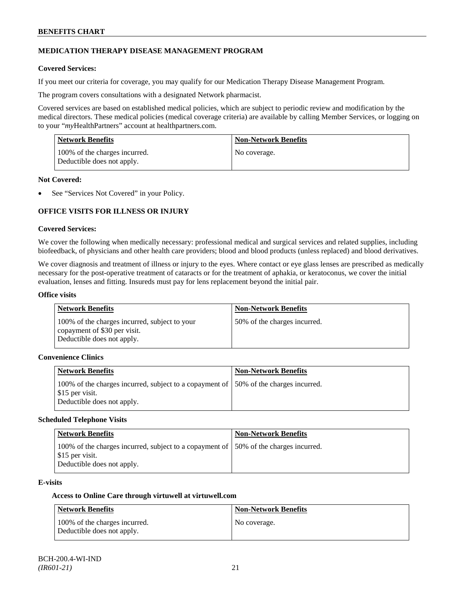## **MEDICATION THERAPY DISEASE MANAGEMENT PROGRAM**

### **Covered Services:**

If you meet our criteria for coverage, you may qualify for our Medication Therapy Disease Management Program.

The program covers consultations with a designated Network pharmacist.

Covered services are based on established medical policies, which are subject to periodic review and modification by the medical directors. These medical policies (medical coverage criteria) are available by calling Member Services, or logging on to your "*my*HealthPartners" account at [healthpartners.com.](http://www.healthpartners.com/)

| <b>Network Benefits</b>                                     | <b>Non-Network Benefits</b> |
|-------------------------------------------------------------|-----------------------------|
| 100% of the charges incurred.<br>Deductible does not apply. | No coverage.                |

### **Not Covered:**

See "Services Not Covered" in your Policy.

## **OFFICE VISITS FOR ILLNESS OR INJURY**

### **Covered Services:**

We cover the following when medically necessary: professional medical and surgical services and related supplies, including biofeedback, of physicians and other health care providers; blood and blood products (unless replaced) and blood derivatives.

We cover diagnosis and treatment of illness or injury to the eyes. Where contact or eye glass lenses are prescribed as medically necessary for the post-operative treatment of cataracts or for the treatment of aphakia, or keratoconus, we cover the initial evaluation, lenses and fitting. Insureds must pay for lens replacement beyond the initial pair.

### **Office visits**

| <b>Network Benefits</b>                                                                                     | Non-Network Benefits         |
|-------------------------------------------------------------------------------------------------------------|------------------------------|
| 100% of the charges incurred, subject to your<br>copayment of \$30 per visit.<br>Deductible does not apply. | 50% of the charges incurred. |

### **Convenience Clinics**

| <b>Network Benefits</b>                                                                                                               | <b>Non-Network Benefits</b> |
|---------------------------------------------------------------------------------------------------------------------------------------|-----------------------------|
| 100% of the charges incurred, subject to a copayment of 50% of the charges incurred.<br>\$15 per visit.<br>Deductible does not apply. |                             |

### **Scheduled Telephone Visits**

| <b>Network Benefits</b>                                                                                                                | <b>Non-Network Benefits</b> |
|----------------------------------------------------------------------------------------------------------------------------------------|-----------------------------|
| 100% of the charges incurred, subject to a copayment of 150% of the charges incurred.<br>\$15 per visit.<br>Deductible does not apply. |                             |

#### **E-visits**

### **Access to Online Care through virtuwell a[t virtuwell.com](http://www.virtuwell.com/)**

| Network Benefits                                            | <b>Non-Network Benefits</b> |
|-------------------------------------------------------------|-----------------------------|
| 100% of the charges incurred.<br>Deductible does not apply. | No coverage.                |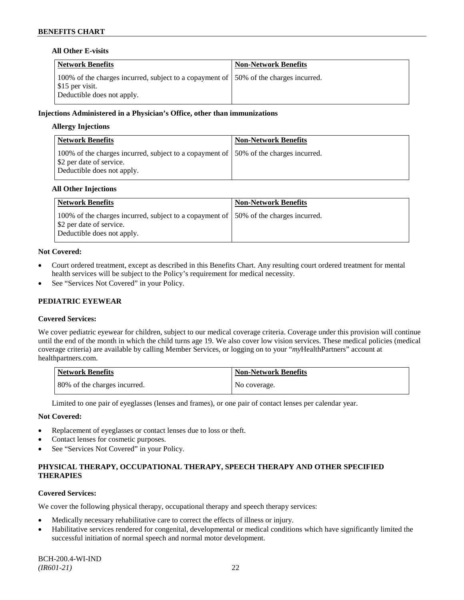## **All Other E-visits**

| <b>Network Benefits</b>                                                                                                                       | <b>Non-Network Benefits</b> |
|-----------------------------------------------------------------------------------------------------------------------------------------------|-----------------------------|
| 100% of the charges incurred, subject to a copayment of $\vert$ 50% of the charges incurred.<br>\$15 per visit.<br>Deductible does not apply. |                             |

### **Injections Administered in a Physician's Office, other than immunizations**

### **Allergy Injections**

| <b>Network Benefits</b>                                                                                                                         | <b>Non-Network Benefits</b> |
|-------------------------------------------------------------------------------------------------------------------------------------------------|-----------------------------|
| 100% of the charges incurred, subject to a copayment of 150% of the charges incurred.<br>\$2 per date of service.<br>Deductible does not apply. |                             |

### **All Other Injections**

| <b>Network Benefits</b>                                                                                                                         | <b>Non-Network Benefits</b> |
|-------------------------------------------------------------------------------------------------------------------------------------------------|-----------------------------|
| 100% of the charges incurred, subject to a copayment of 150% of the charges incurred.<br>\$2 per date of service.<br>Deductible does not apply. |                             |

### **Not Covered:**

- Court ordered treatment, except as described in this Benefits Chart. Any resulting court ordered treatment for mental health services will be subject to the Policy's requirement for medical necessity.
- See "Services Not Covered" in your Policy.

### **PEDIATRIC EYEWEAR**

### **Covered Services:**

We cover pediatric eyewear for children, subject to our medical coverage criteria. Coverage under this provision will continue until the end of the month in which the child turns age 19. We also cover low vision services. These medical policies (medical coverage criteria) are available by calling Member Services, or logging on to your "*my*HealthPartners" account at [healthpartners.com.](http://www.healthpartners.com/)

| Network Benefits             | <b>Non-Network Benefits</b> |
|------------------------------|-----------------------------|
| 80% of the charges incurred. | No coverage.                |

Limited to one pair of eyeglasses (lenses and frames), or one pair of contact lenses per calendar year.

## **Not Covered:**

- Replacement of eyeglasses or contact lenses due to loss or theft.
- Contact lenses for cosmetic purposes.
- See "Services Not Covered" in your Policy.

## **PHYSICAL THERAPY, OCCUPATIONAL THERAPY, SPEECH THERAPY AND OTHER SPECIFIED THERAPIES**

#### **Covered Services:**

We cover the following physical therapy, occupational therapy and speech therapy services:

- Medically necessary rehabilitative care to correct the effects of illness or injury.
- Habilitative services rendered for congenital, developmental or medical conditions which have significantly limited the successful initiation of normal speech and normal motor development.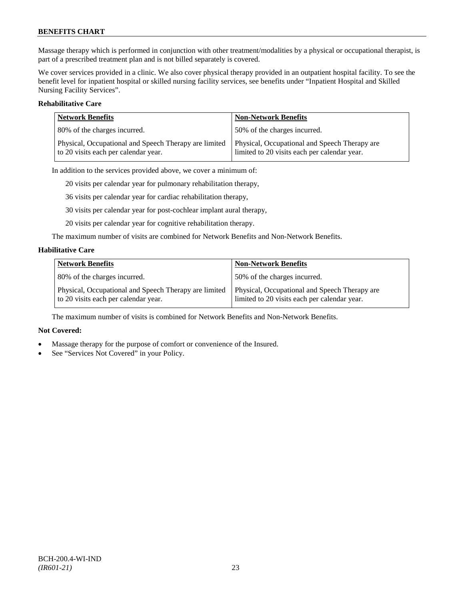Massage therapy which is performed in conjunction with other treatment/modalities by a physical or occupational therapist, is part of a prescribed treatment plan and is not billed separately is covered.

We cover services provided in a clinic. We also cover physical therapy provided in an outpatient hospital facility. To see the benefit level for inpatient hospital or skilled nursing facility services, see benefits under "Inpatient Hospital and Skilled Nursing Facility Services".

## **Rehabilitative Care**

| <b>Network Benefits</b>                                                                       | <b>Non-Network Benefits</b>                                                                   |
|-----------------------------------------------------------------------------------------------|-----------------------------------------------------------------------------------------------|
| 80% of the charges incurred.                                                                  | 50% of the charges incurred.                                                                  |
| Physical, Occupational and Speech Therapy are limited<br>to 20 visits each per calendar year. | Physical, Occupational and Speech Therapy are<br>limited to 20 visits each per calendar year. |

In addition to the services provided above, we cover a minimum of:

20 visits per calendar year for pulmonary rehabilitation therapy,

36 visits per calendar year for cardiac rehabilitation therapy,

30 visits per calendar year for post-cochlear implant aural therapy,

20 visits per calendar year for cognitive rehabilitation therapy.

The maximum number of visits are combined for Network Benefits and Non-Network Benefits.

### **Habilitative Care**

| <b>Network Benefits</b>                                                                       | <b>Non-Network Benefits</b>                                                                   |
|-----------------------------------------------------------------------------------------------|-----------------------------------------------------------------------------------------------|
| 80% of the charges incurred.                                                                  | 50% of the charges incurred.                                                                  |
| Physical, Occupational and Speech Therapy are limited<br>to 20 visits each per calendar year. | Physical, Occupational and Speech Therapy are<br>limited to 20 visits each per calendar year. |

The maximum number of visits is combined for Network Benefits and Non-Network Benefits.

## **Not Covered:**

- Massage therapy for the purpose of comfort or convenience of the Insured.
- See "Services Not Covered" in your Policy.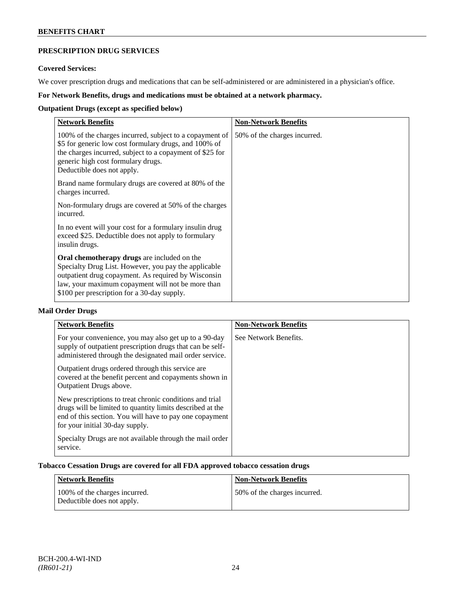## **PRESCRIPTION DRUG SERVICES**

## **Covered Services:**

We cover prescription drugs and medications that can be self-administered or are administered in a physician's office.

## **For Network Benefits, drugs and medications must be obtained at a network pharmacy.**

## **Outpatient Drugs (except as specified below)**

| <b>Network Benefits</b>                                                                                                                                                                                                                                        | <b>Non-Network Benefits</b>  |
|----------------------------------------------------------------------------------------------------------------------------------------------------------------------------------------------------------------------------------------------------------------|------------------------------|
| 100% of the charges incurred, subject to a copayment of<br>\$5 for generic low cost formulary drugs, and 100% of<br>the charges incurred, subject to a copayment of \$25 for<br>generic high cost formulary drugs.<br>Deductible does not apply.               | 50% of the charges incurred. |
| Brand name formulary drugs are covered at 80% of the<br>charges incurred.                                                                                                                                                                                      |                              |
| Non-formulary drugs are covered at 50% of the charges<br>incurred.                                                                                                                                                                                             |                              |
| In no event will your cost for a formulary insulin drug<br>exceed \$25. Deductible does not apply to formulary<br>insulin drugs.                                                                                                                               |                              |
| Oral chemotherapy drugs are included on the<br>Specialty Drug List. However, you pay the applicable<br>outpatient drug copayment. As required by Wisconsin<br>law, your maximum copayment will not be more than<br>\$100 per prescription for a 30-day supply. |                              |

## **Mail Order Drugs**

| <b>Network Benefits</b>                                                                                                                                                                                            | <b>Non-Network Benefits</b> |
|--------------------------------------------------------------------------------------------------------------------------------------------------------------------------------------------------------------------|-----------------------------|
| For your convenience, you may also get up to a 90-day<br>supply of outpatient prescription drugs that can be self-<br>administered through the designated mail order service.                                      | See Network Benefits.       |
| Outpatient drugs ordered through this service are.<br>covered at the benefit percent and copayments shown in<br>Outpatient Drugs above.                                                                            |                             |
| New prescriptions to treat chronic conditions and trial<br>drugs will be limited to quantity limits described at the<br>end of this section. You will have to pay one copayment<br>for your initial 30-day supply. |                             |
| Specialty Drugs are not available through the mail order<br>service.                                                                                                                                               |                             |

## **Tobacco Cessation Drugs are covered for all FDA approved tobacco cessation drugs**

| Network Benefits                                            | <b>Non-Network Benefits</b>  |
|-------------------------------------------------------------|------------------------------|
| 100% of the charges incurred.<br>Deductible does not apply. | 50% of the charges incurred. |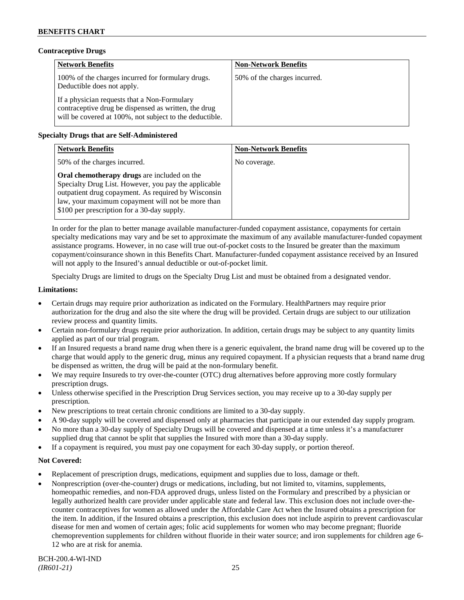## **Contraceptive Drugs**

| <b>Network Benefits</b>                                                                                                                                         | <b>Non-Network Benefits</b>  |
|-----------------------------------------------------------------------------------------------------------------------------------------------------------------|------------------------------|
| 100% of the charges incurred for formulary drugs.<br>Deductible does not apply.                                                                                 | 50% of the charges incurred. |
| If a physician requests that a Non-Formulary<br>contraceptive drug be dispensed as written, the drug<br>will be covered at 100%, not subject to the deductible. |                              |

## **Specialty Drugs that are Self-Administered**

| <b>Network Benefits</b>                                                                                                                                                                                                                                        | <b>Non-Network Benefits</b> |
|----------------------------------------------------------------------------------------------------------------------------------------------------------------------------------------------------------------------------------------------------------------|-----------------------------|
| 50% of the charges incurred.                                                                                                                                                                                                                                   | No coverage.                |
| Oral chemotherapy drugs are included on the<br>Specialty Drug List. However, you pay the applicable<br>outpatient drug copayment. As required by Wisconsin<br>law, your maximum copayment will not be more than<br>\$100 per prescription for a 30-day supply. |                             |

In order for the plan to better manage available manufacturer-funded copayment assistance, copayments for certain specialty medications may vary and be set to approximate the maximum of any available manufacturer-funded copayment assistance programs. However, in no case will true out-of-pocket costs to the Insured be greater than the maximum copayment/coinsurance shown in this Benefits Chart. Manufacturer-funded copayment assistance received by an Insured will not apply to the Insured's annual deductible or out-of-pocket limit.

Specialty Drugs are limited to drugs on the Specialty Drug List and must be obtained from a designated vendor.

### **Limitations:**

- Certain drugs may require prior authorization as indicated on the Formulary. HealthPartners may require prior authorization for the drug and also the site where the drug will be provided. Certain drugs are subject to our utilization review process and quantity limits.
- Certain non-formulary drugs require prior authorization. In addition, certain drugs may be subject to any quantity limits applied as part of our trial program.
- If an Insured requests a brand name drug when there is a generic equivalent, the brand name drug will be covered up to the charge that would apply to the generic drug, minus any required copayment. If a physician requests that a brand name drug be dispensed as written, the drug will be paid at the non-formulary benefit.
- We may require Insureds to try over-the-counter (OTC) drug alternatives before approving more costly formulary prescription drugs.
- Unless otherwise specified in the Prescription Drug Services section, you may receive up to a 30-day supply per prescription.
- New prescriptions to treat certain chronic conditions are limited to a 30-day supply.
- A 90-day supply will be covered and dispensed only at pharmacies that participate in our extended day supply program.
- No more than a 30-day supply of Specialty Drugs will be covered and dispensed at a time unless it's a manufacturer supplied drug that cannot be split that supplies the Insured with more than a 30-day supply.
- If a copayment is required, you must pay one copayment for each 30-day supply, or portion thereof.

## **Not Covered:**

- Replacement of prescription drugs, medications, equipment and supplies due to loss, damage or theft.
- Nonprescription (over-the-counter) drugs or medications, including, but not limited to, vitamins, supplements, homeopathic remedies, and non-FDA approved drugs, unless listed on the Formulary and prescribed by a physician or legally authorized health care provider under applicable state and federal law. This exclusion does not include over-thecounter contraceptives for women as allowed under the Affordable Care Act when the Insured obtains a prescription for the item. In addition, if the Insured obtains a prescription, this exclusion does not include aspirin to prevent cardiovascular disease for men and women of certain ages; folic acid supplements for women who may become pregnant; fluoride chemoprevention supplements for children without fluoride in their water source; and iron supplements for children age 6- 12 who are at risk for anemia.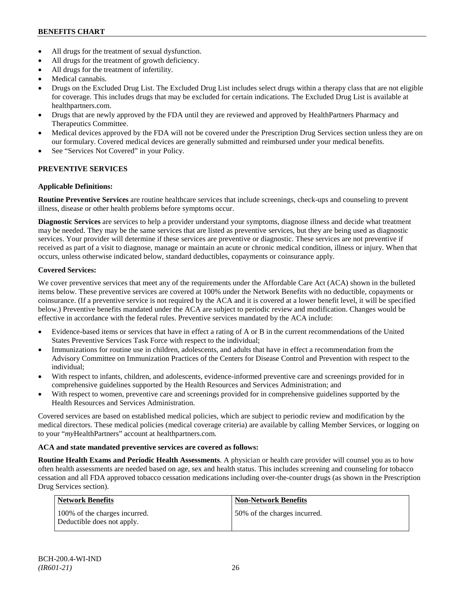- All drugs for the treatment of sexual dysfunction.
- All drugs for the treatment of growth deficiency.
- All drugs for the treatment of infertility.
- Medical cannabis.
- Drugs on the Excluded Drug List. The Excluded Drug List includes select drugs within a therapy class that are not eligible for coverage. This includes drugs that may be excluded for certain indications. The Excluded Drug List is available at [healthpartners.com.](http://www.healthpartners.com/)
- Drugs that are newly approved by the FDA until they are reviewed and approved by HealthPartners Pharmacy and Therapeutics Committee.
- Medical devices approved by the FDA will not be covered under the Prescription Drug Services section unless they are on our formulary. Covered medical devices are generally submitted and reimbursed under your medical benefits.
- See "Services Not Covered" in your Policy.

## **PREVENTIVE SERVICES**

### **Applicable Definitions:**

**Routine Preventive Services** are routine healthcare services that include screenings, check-ups and counseling to prevent illness, disease or other health problems before symptoms occur.

**Diagnostic Services** are services to help a provider understand your symptoms, diagnose illness and decide what treatment may be needed. They may be the same services that are listed as preventive services, but they are being used as diagnostic services. Your provider will determine if these services are preventive or diagnostic. These services are not preventive if received as part of a visit to diagnose, manage or maintain an acute or chronic medical condition, illness or injury. When that occurs, unless otherwise indicated below, standard deductibles, copayments or coinsurance apply.

### **Covered Services:**

We cover preventive services that meet any of the requirements under the Affordable Care Act (ACA) shown in the bulleted items below. These preventive services are covered at 100% under the Network Benefits with no deductible, copayments or coinsurance. (If a preventive service is not required by the ACA and it is covered at a lower benefit level, it will be specified below.) Preventive benefits mandated under the ACA are subject to periodic review and modification. Changes would be effective in accordance with the federal rules. Preventive services mandated by the ACA include:

- Evidence-based items or services that have in effect a rating of A or B in the current recommendations of the United States Preventive Services Task Force with respect to the individual;
- Immunizations for routine use in children, adolescents, and adults that have in effect a recommendation from the Advisory Committee on Immunization Practices of the Centers for Disease Control and Prevention with respect to the individual;
- With respect to infants, children, and adolescents, evidence-informed preventive care and screenings provided for in comprehensive guidelines supported by the Health Resources and Services Administration; and
- With respect to women, preventive care and screenings provided for in comprehensive guidelines supported by the Health Resources and Services Administration.

Covered services are based on established medical policies, which are subject to periodic review and modification by the medical directors. These medical policies (medical coverage criteria) are available by calling Member Services, or logging on to your "*my*HealthPartners" account at [healthpartners.com.](http://www.healthpartners.com/)

## **ACA and state mandated preventive services are covered as follows:**

**Routine Health Exams and Periodic Health Assessments**. A physician or health care provider will counsel you as to how often health assessments are needed based on age, sex and health status. This includes screening and counseling for tobacco cessation and all FDA approved tobacco cessation medications including over-the-counter drugs (as shown in the Prescription Drug Services section).

| <b>Network Benefits</b>                                     | <b>Non-Network Benefits</b>  |
|-------------------------------------------------------------|------------------------------|
| 100% of the charges incurred.<br>Deductible does not apply. | 50% of the charges incurred. |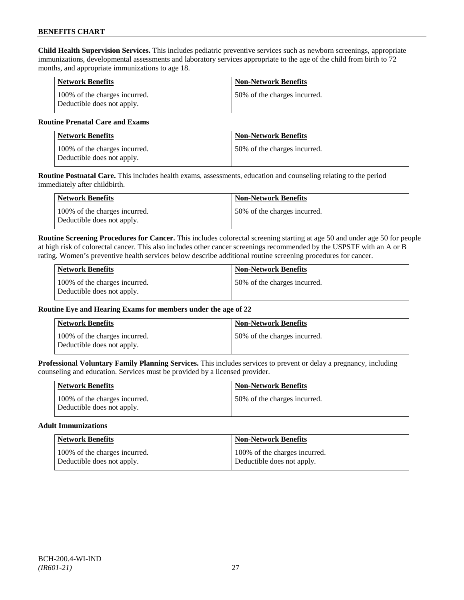**Child Health Supervision Services.** This includes pediatric preventive services such as newborn screenings, appropriate immunizations, developmental assessments and laboratory services appropriate to the age of the child from birth to 72 months, and appropriate immunizations to age 18.

| <b>Network Benefits</b>                                     | <b>Non-Network Benefits</b>  |
|-------------------------------------------------------------|------------------------------|
| 100% of the charges incurred.<br>Deductible does not apply. | 50% of the charges incurred. |

## **Routine Prenatal Care and Exams**

| <b>Network Benefits</b>                                     | <b>Non-Network Benefits</b>   |
|-------------------------------------------------------------|-------------------------------|
| 100% of the charges incurred.<br>Deductible does not apply. | 150% of the charges incurred. |

**Routine Postnatal Care.** This includes health exams, assessments, education and counseling relating to the period immediately after childbirth.

| Network Benefits                                            | <b>Non-Network Benefits</b>  |
|-------------------------------------------------------------|------------------------------|
| 100% of the charges incurred.<br>Deductible does not apply. | 50% of the charges incurred. |

**Routine Screening Procedures for Cancer.** This includes colorectal screening starting at age 50 and under age 50 for people at high risk of colorectal cancer. This also includes other cancer screenings recommended by the USPSTF with an A or B rating. Women's preventive health services below describe additional routine screening procedures for cancer.

| Network Benefits                                            | <b>Non-Network Benefits</b>  |
|-------------------------------------------------------------|------------------------------|
| 100% of the charges incurred.<br>Deductible does not apply. | 50% of the charges incurred. |

## **Routine Eye and Hearing Exams for members under the age of 22**

| <b>Network Benefits</b>                                     | <b>Non-Network Benefits</b>  |
|-------------------------------------------------------------|------------------------------|
| 100% of the charges incurred.<br>Deductible does not apply. | 50% of the charges incurred. |

**Professional Voluntary Family Planning Services.** This includes services to prevent or delay a pregnancy, including counseling and education. Services must be provided by a licensed provider.

| <b>Network Benefits</b>                                     | <b>Non-Network Benefits</b>  |
|-------------------------------------------------------------|------------------------------|
| 100% of the charges incurred.<br>Deductible does not apply. | 50% of the charges incurred. |

#### **Adult Immunizations**

| <b>Network Benefits</b>       | <b>Non-Network Benefits</b>   |
|-------------------------------|-------------------------------|
| 100% of the charges incurred. | 100% of the charges incurred. |
| Deductible does not apply.    | Deductible does not apply.    |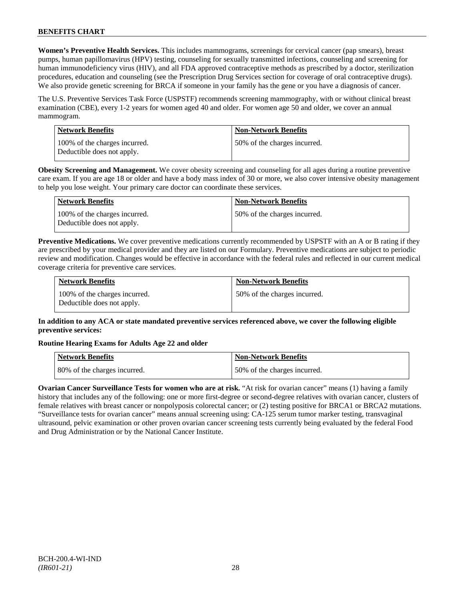**Women's Preventive Health Services.** This includes mammograms, screenings for cervical cancer (pap smears), breast pumps, human papillomavirus (HPV) testing, counseling for sexually transmitted infections, counseling and screening for human immunodeficiency virus (HIV), and all FDA approved contraceptive methods as prescribed by a doctor, sterilization procedures, education and counseling (see the Prescription Drug Services section for coverage of oral contraceptive drugs). We also provide genetic screening for BRCA if someone in your family has the gene or you have a diagnosis of cancer.

The U.S. Preventive Services Task Force (USPSTF) recommends screening mammography, with or without clinical breast examination (CBE), every 1-2 years for women aged 40 and older. For women age 50 and older, we cover an annual mammogram.

| <b>Network Benefits</b>                                     | <b>Non-Network Benefits</b>  |
|-------------------------------------------------------------|------------------------------|
| 100% of the charges incurred.<br>Deductible does not apply. | 50% of the charges incurred. |

**Obesity Screening and Management.** We cover obesity screening and counseling for all ages during a routine preventive care exam. If you are age 18 or older and have a body mass index of 30 or more, we also cover intensive obesity management to help you lose weight. Your primary care doctor can coordinate these services.

| <b>Network Benefits</b>                                     | <b>Non-Network Benefits</b>   |
|-------------------------------------------------------------|-------------------------------|
| 100% of the charges incurred.<br>Deductible does not apply. | 150% of the charges incurred. |

**Preventive Medications.** We cover preventive medications currently recommended by USPSTF with an A or B rating if they are prescribed by your medical provider and they are listed on our Formulary. Preventive medications are subject to periodic review and modification. Changes would be effective in accordance with the federal rules and reflected in our current medical coverage criteria for preventive care services.

| <b>Network Benefits</b>                                     | <b>Non-Network Benefits</b>  |
|-------------------------------------------------------------|------------------------------|
| 100% of the charges incurred.<br>Deductible does not apply. | 50% of the charges incurred. |

## **In addition to any ACA or state mandated preventive services referenced above, we cover the following eligible preventive services:**

## **Routine Hearing Exams for Adults Age 22 and older**

| <b>Network Benefits</b>      | <b>Non-Network Benefits</b>  |
|------------------------------|------------------------------|
| 80% of the charges incurred. | 50% of the charges incurred. |

**Ovarian Cancer Surveillance Tests for women who are at risk.** "At risk for ovarian cancer" means (1) having a family history that includes any of the following: one or more first-degree or second-degree relatives with ovarian cancer, clusters of female relatives with breast cancer or nonpolyposis colorectal cancer; or (2) testing positive for BRCA1 or BRCA2 mutations. "Surveillance tests for ovarian cancer" means annual screening using: CA-125 serum tumor marker testing, transvaginal ultrasound, pelvic examination or other proven ovarian cancer screening tests currently being evaluated by the federal Food and Drug Administration or by the National Cancer Institute.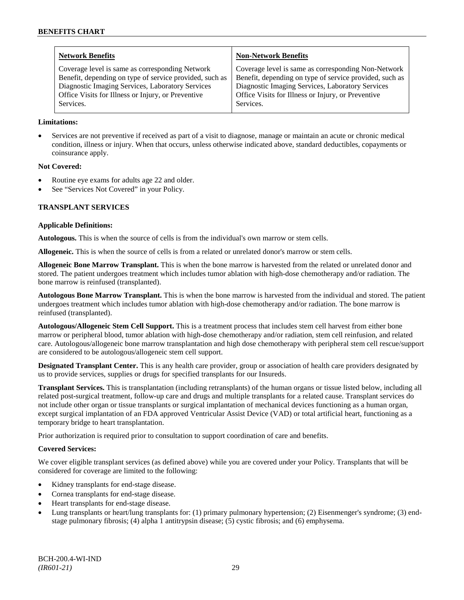| <b>Network Benefits</b>                                 | <b>Non-Network Benefits</b>                             |
|---------------------------------------------------------|---------------------------------------------------------|
| Coverage level is same as corresponding Network         | Coverage level is same as corresponding Non-Network     |
| Benefit, depending on type of service provided, such as | Benefit, depending on type of service provided, such as |
| Diagnostic Imaging Services, Laboratory Services        | Diagnostic Imaging Services, Laboratory Services        |
| Office Visits for Illness or Injury, or Preventive      | Office Visits for Illness or Injury, or Preventive      |
| Services.                                               | Services.                                               |

### **Limitations:**

• Services are not preventive if received as part of a visit to diagnose, manage or maintain an acute or chronic medical condition, illness or injury. When that occurs, unless otherwise indicated above, standard deductibles, copayments or coinsurance apply.

## **Not Covered:**

- Routine eye exams for adults age 22 and older.
- See "Services Not Covered" in your Policy.

### **TRANSPLANT SERVICES**

### **Applicable Definitions:**

**Autologous.** This is when the source of cells is from the individual's own marrow or stem cells.

**Allogeneic.** This is when the source of cells is from a related or unrelated donor's marrow or stem cells.

**Allogeneic Bone Marrow Transplant.** This is when the bone marrow is harvested from the related or unrelated donor and stored. The patient undergoes treatment which includes tumor ablation with high-dose chemotherapy and/or radiation. The bone marrow is reinfused (transplanted).

**Autologous Bone Marrow Transplant.** This is when the bone marrow is harvested from the individual and stored. The patient undergoes treatment which includes tumor ablation with high-dose chemotherapy and/or radiation. The bone marrow is reinfused (transplanted).

**Autologous/Allogeneic Stem Cell Support.** This is a treatment process that includes stem cell harvest from either bone marrow or peripheral blood, tumor ablation with high-dose chemotherapy and/or radiation, stem cell reinfusion, and related care. Autologous/allogeneic bone marrow transplantation and high dose chemotherapy with peripheral stem cell rescue/support are considered to be autologous/allogeneic stem cell support.

**Designated Transplant Center.** This is any health care provider, group or association of health care providers designated by us to provide services, supplies or drugs for specified transplants for our Insureds.

**Transplant Services.** This is transplantation (including retransplants) of the human organs or tissue listed below, including all related post-surgical treatment, follow-up care and drugs and multiple transplants for a related cause. Transplant services do not include other organ or tissue transplants or surgical implantation of mechanical devices functioning as a human organ, except surgical implantation of an FDA approved Ventricular Assist Device (VAD) or total artificial heart, functioning as a temporary bridge to heart transplantation.

Prior authorization is required prior to consultation to support coordination of care and benefits.

### **Covered Services:**

We cover eligible transplant services (as defined above) while you are covered under your Policy. Transplants that will be considered for coverage are limited to the following:

- Kidney transplants for end-stage disease.
- Cornea transplants for end-stage disease.
- Heart transplants for end-stage disease.
- Lung transplants or heart/lung transplants for: (1) primary pulmonary hypertension; (2) Eisenmenger's syndrome; (3) endstage pulmonary fibrosis; (4) alpha 1 antitrypsin disease; (5) cystic fibrosis; and (6) emphysema.